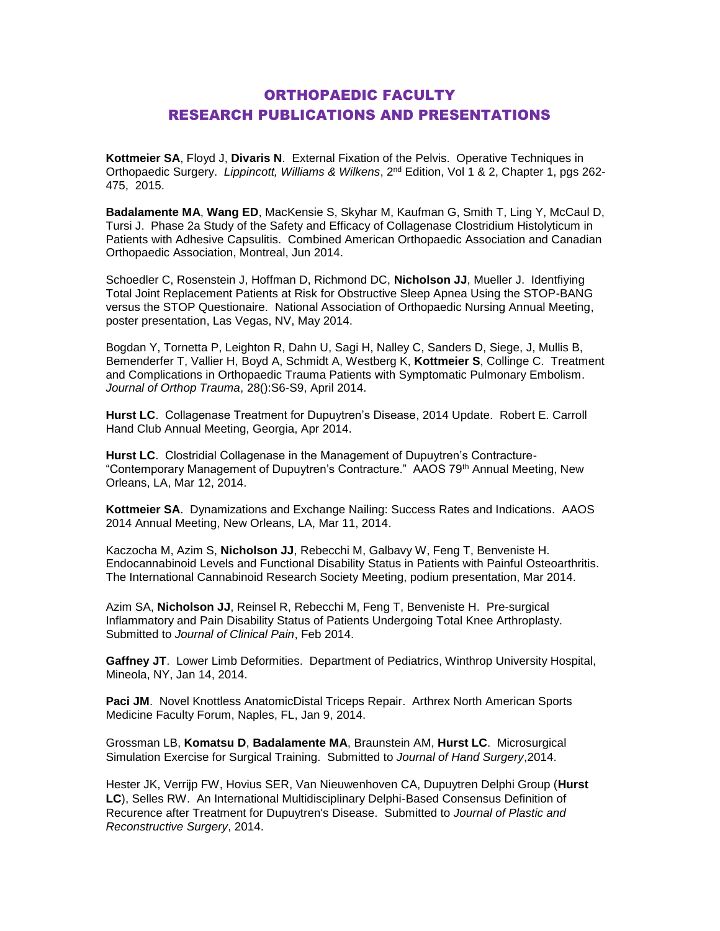## ORTHOPAEDIC FACULTY RESEARCH PUBLICATIONS AND PRESENTATIONS

**Kottmeier SA**, Floyd J, **Divaris N**. External Fixation of the Pelvis. Operative Techniques in Orthopaedic Surgery. *Lippincott, Williams & Wilkens*, 2 nd Edition, Vol 1 & 2, Chapter 1, pgs 262- 475, 2015.

**Badalamente MA**, **Wang ED**, MacKensie S, Skyhar M, Kaufman G, Smith T, Ling Y, McCaul D, Tursi J. Phase 2a Study of the Safety and Efficacy of Collagenase Clostridium Histolyticum in Patients with Adhesive Capsulitis. Combined American Orthopaedic Association and Canadian Orthopaedic Association, Montreal, Jun 2014.

Schoedler C, Rosenstein J, Hoffman D, Richmond DC, **Nicholson JJ**, Mueller J. Identfiying Total Joint Replacement Patients at Risk for Obstructive Sleep Apnea Using the STOP-BANG versus the STOP Questionaire. National Association of Orthopaedic Nursing Annual Meeting, poster presentation, Las Vegas, NV, May 2014.

Bogdan Y, Tornetta P, Leighton R, Dahn U, Sagi H, Nalley C, Sanders D, Siege, J, Mullis B, Bemenderfer T, Vallier H, Boyd A, Schmidt A, Westberg K, **Kottmeier S**, Collinge C. Treatment and Complications in Orthopaedic Trauma Patients with Symptomatic Pulmonary Embolism. *Journal of Orthop Trauma*, 28():S6-S9, April 2014.

**Hurst LC**. Collagenase Treatment for Dupuytren's Disease, 2014 Update. Robert E. Carroll Hand Club Annual Meeting, Georgia, Apr 2014.

**Hurst LC**. Clostridial Collagenase in the Management of Dupuytren's Contracture- "Contemporary Management of Dupuytren's Contracture." AAOS 79th Annual Meeting, New Orleans, LA, Mar 12, 2014.

**Kottmeier SA**. Dynamizations and Exchange Nailing: Success Rates and Indications. AAOS 2014 Annual Meeting, New Orleans, LA, Mar 11, 2014.

Kaczocha M, Azim S, **Nicholson JJ**, Rebecchi M, Galbavy W, Feng T, Benveniste H. Endocannabinoid Levels and Functional Disability Status in Patients with Painful Osteoarthritis. The International Cannabinoid Research Society Meeting, podium presentation, Mar 2014.

Azim SA, **Nicholson JJ**, Reinsel R, Rebecchi M, Feng T, Benveniste H. Pre-surgical Inflammatory and Pain Disability Status of Patients Undergoing Total Knee Arthroplasty. Submitted to *Journal of Clinical Pain*, Feb 2014.

**Gaffney JT**. Lower Limb Deformities. Department of Pediatrics, Winthrop University Hospital, Mineola, NY, Jan 14, 2014.

Paci JM. Novel Knottless AnatomicDistal Triceps Repair. Arthrex North American Sports Medicine Faculty Forum, Naples, FL, Jan 9, 2014.

Grossman LB, **Komatsu D**, **Badalamente MA**, Braunstein AM, **Hurst LC**. Microsurgical Simulation Exercise for Surgical Training. Submitted to *Journal of Hand Surgery*,2014.

Hester JK, Verrijp FW, Hovius SER, Van Nieuwenhoven CA, Dupuytren Delphi Group (**Hurst LC**), Selles RW. An International Multidisciplinary Delphi-Based Consensus Definition of Recurence after Treatment for Dupuytren's Disease. Submitted to *Journal of Plastic and Reconstructive Surgery*, 2014.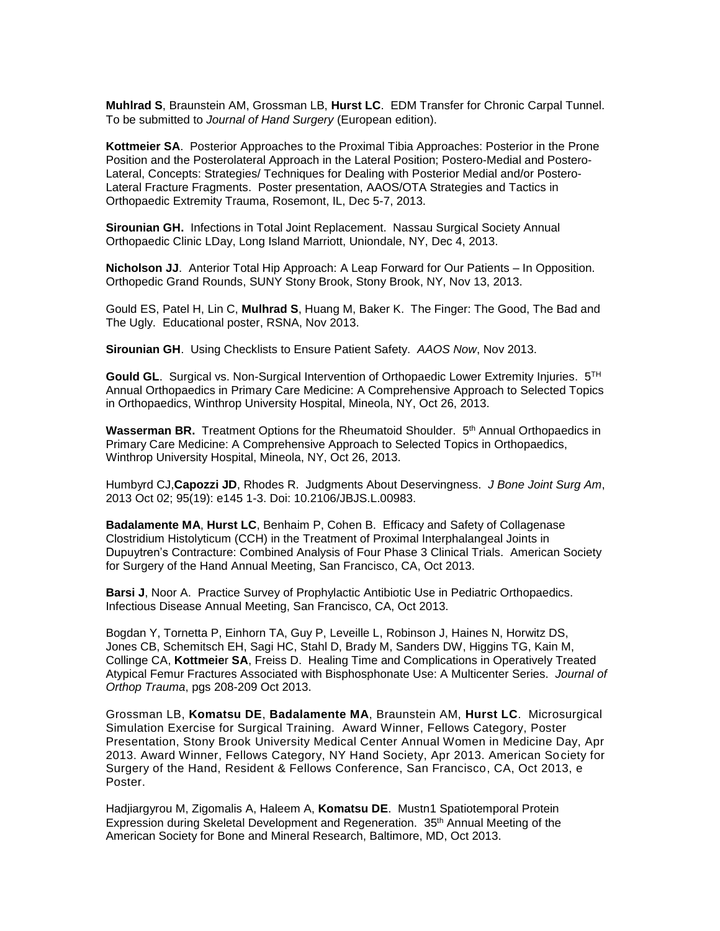**Muhlrad S**, Braunstein AM, Grossman LB, **Hurst LC**. EDM Transfer for Chronic Carpal Tunnel. To be submitted to *Journal of Hand Surgery* (European edition).

**Kottmeier SA**. Posterior Approaches to the Proximal Tibia Approaches: Posterior in the Prone Position and the Posterolateral Approach in the Lateral Position; Postero-Medial and Postero-Lateral, Concepts: Strategies/ Techniques for Dealing with Posterior Medial and/or Postero-Lateral Fracture Fragments. Poster presentation, AAOS/OTA Strategies and Tactics in Orthopaedic Extremity Trauma, Rosemont, IL, Dec 5-7, 2013.

**Sirounian GH.** Infections in Total Joint Replacement. Nassau Surgical Society Annual Orthopaedic Clinic LDay, Long Island Marriott, Uniondale, NY, Dec 4, 2013.

**Nicholson JJ**. Anterior Total Hip Approach: A Leap Forward for Our Patients – In Opposition. Orthopedic Grand Rounds, SUNY Stony Brook, Stony Brook, NY, Nov 13, 2013.

Gould ES, Patel H, Lin C, **Mulhrad S**, Huang M, Baker K. The Finger: The Good, The Bad and The Ugly. Educational poster, RSNA, Nov 2013.

**Sirounian GH**. Using Checklists to Ensure Patient Safety. *AAOS Now*, Nov 2013.

**Gould GL**.Surgical vs. Non-Surgical Intervention of Orthopaedic Lower Extremity Injuries. 5TH Annual Orthopaedics in Primary Care Medicine: A Comprehensive Approach to Selected Topics in Orthopaedics, Winthrop University Hospital, Mineola, NY, Oct 26, 2013.

**Wasserman BR.** Treatment Options for the Rheumatoid Shoulder. 5<sup>th</sup> Annual Orthopaedics in Primary Care Medicine: A Comprehensive Approach to Selected Topics in Orthopaedics, Winthrop University Hospital, Mineola, NY, Oct 26, 2013.

Humbyrd CJ,**Capozzi JD**, Rhodes R. Judgments About Deservingness. *J Bone Joint Surg Am*, 2013 Oct 02; 95(19): e145 1-3. Doi: 10.2106/JBJS.L.00983.

**Badalamente MA**, **Hurst LC**, Benhaim P, Cohen B. Efficacy and Safety of Collagenase Clostridium Histolyticum (CCH) in the Treatment of Proximal Interphalangeal Joints in Dupuytren's Contracture: Combined Analysis of Four Phase 3 Clinical Trials. American Society for Surgery of the Hand Annual Meeting, San Francisco, CA, Oct 2013.

**Barsi J**, Noor A. Practice Survey of Prophylactic Antibiotic Use in Pediatric Orthopaedics. Infectious Disease Annual Meeting, San Francisco, CA, Oct 2013.

Bogdan Y, Tornetta P, Einhorn TA, Guy P, Leveille L, Robinson J, Haines N, Horwitz DS, Jones CB, Schemitsch EH, Sagi HC, Stahl D, Brady M, Sanders DW, Higgins TG, Kain M, Collinge CA, **Kottmeie**r **SA**, Freiss D. Healing Time and Complications in Operatively Treated Atypical Femur Fractures Associated with Bisphosphonate Use: A Multicenter Series. *Journal of Orthop Trauma*, pgs 208-209 Oct 2013.

Grossman LB, **Komatsu DE**, **Badalamente MA**, Braunstein AM, **Hurst LC**. Microsurgical Simulation Exercise for Surgical Training. Award Winner, Fellows Category, Poster Presentation, Stony Brook University Medical Center Annual Women in Medicine Day, Apr 2013. Award Winner, Fellows Category, NY Hand Society, Apr 2013. American Society for Surgery of the Hand, Resident & Fellows Conference, San Francisco, CA, Oct 2013, e Poster.

Hadjiargyrou M, Zigomalis A, Haleem A, **Komatsu DE**. Mustn1 Spatiotemporal Protein Expression during Skeletal Development and Regeneration. 35th Annual Meeting of the American Society for Bone and Mineral Research, Baltimore, MD, Oct 2013.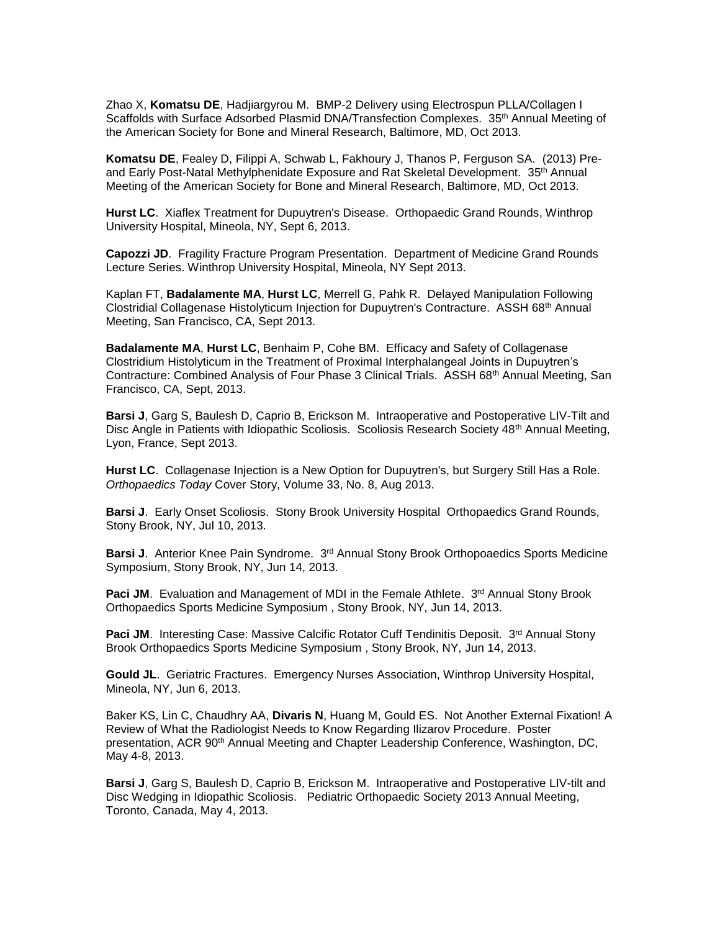Zhao X, **Komatsu DE**, Hadjiargyrou M. BMP-2 Delivery using Electrospun PLLA/Collagen I Scaffolds with Surface Adsorbed Plasmid DNA/Transfection Complexes. 35<sup>th</sup> Annual Meeting of the American Society for Bone and Mineral Research, Baltimore, MD, Oct 2013.

**Komatsu DE**, Fealey D, Filippi A, Schwab L, Fakhoury J, Thanos P, Ferguson SA. (2013) Preand Early Post-Natal Methylphenidate Exposure and Rat Skeletal Development. 35<sup>th</sup> Annual Meeting of the American Society for Bone and Mineral Research, Baltimore, MD, Oct 2013.

**Hurst LC**. Xiaflex Treatment for Dupuytren's Disease. Orthopaedic Grand Rounds, Winthrop University Hospital, Mineola, NY, Sept 6, 2013.

**Capozzi JD**. Fragility Fracture Program Presentation. Department of Medicine Grand Rounds Lecture Series. Winthrop University Hospital, Mineola, NY Sept 2013.

Kaplan FT, **Badalamente MA**, **Hurst LC**, Merrell G, Pahk R. Delayed Manipulation Following Clostridial Collagenase Histolyticum Injection for Dupuytren's Contracture. ASSH 68th Annual Meeting, San Francisco, CA, Sept 2013.

**Badalamente MA**, **Hurst LC**, Benhaim P, Cohe BM. Efficacy and Safety of Collagenase Clostridium Histolyticum in the Treatment of Proximal Interphalangeal Joints in Dupuytren's Contracture: Combined Analysis of Four Phase 3 Clinical Trials. ASSH 68th Annual Meeting, San Francisco, CA, Sept, 2013.

**Barsi J**, Garg S, Baulesh D, Caprio B, Erickson M. Intraoperative and Postoperative LIV-Tilt and Disc Angle in Patients with Idiopathic Scoliosis. Scoliosis Research Society 48<sup>th</sup> Annual Meeting, Lyon, France, Sept 2013.

**Hurst LC**. Collagenase Injection is a New Option for Dupuytren's, but Surgery Still Has a Role. *Orthopaedics Today* Cover Story, Volume 33, No. 8, Aug 2013.

**Barsi J**. Early Onset Scoliosis. Stony Brook University Hospital Orthopaedics Grand Rounds, Stony Brook, NY, Jul 10, 2013.

Barsi J. Anterior Knee Pain Syndrome. 3<sup>rd</sup> Annual Stony Brook Orthopoaedics Sports Medicine Symposium, Stony Brook, NY, Jun 14, 2013.

**Paci JM**. Evaluation and Management of MDI in the Female Athlete. 3<sup>rd</sup> Annual Stony Brook Orthopaedics Sports Medicine Symposium , Stony Brook, NY, Jun 14, 2013.

**Paci JM.** Interesting Case: Massive Calcific Rotator Cuff Tendinitis Deposit. 3<sup>rd</sup> Annual Stony Brook Orthopaedics Sports Medicine Symposium , Stony Brook, NY, Jun 14, 2013.

**Gould JL**. Geriatric Fractures. Emergency Nurses Association, Winthrop University Hospital, Mineola, NY, Jun 6, 2013.

Baker KS, Lin C, Chaudhry AA, **Divaris N**, Huang M, Gould ES. Not Another External Fixation! A Review of What the Radiologist Needs to Know Regarding Ilizarov Procedure. Poster presentation, ACR 90<sup>th</sup> Annual Meeting and Chapter Leadership Conference, Washington, DC, May 4-8, 2013.

**Barsi J**, Garg S, Baulesh D, Caprio B, Erickson M. Intraoperative and Postoperative LIV-tilt and Disc Wedging in Idiopathic Scoliosis. Pediatric Orthopaedic Society 2013 Annual Meeting, Toronto, Canada, May 4, 2013.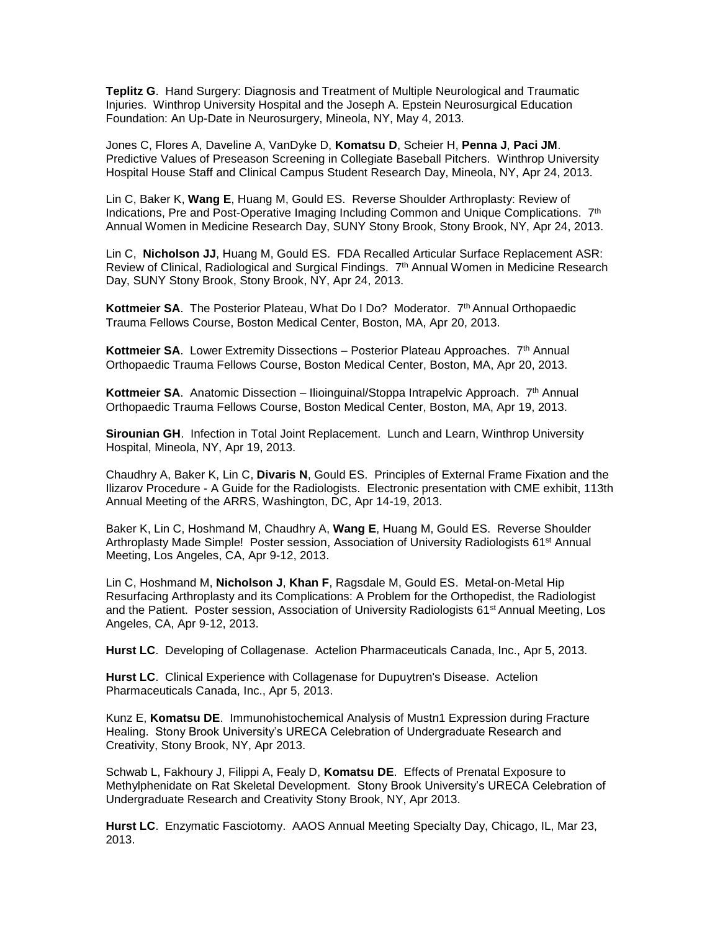**Teplitz G**. Hand Surgery: Diagnosis and Treatment of Multiple Neurological and Traumatic Injuries. Winthrop University Hospital and the Joseph A. Epstein Neurosurgical Education Foundation: An Up-Date in Neurosurgery, Mineola, NY, May 4, 2013.

Jones C, Flores A, Daveline A, VanDyke D, **Komatsu D**, Scheier H, **Penna J**, **Paci JM**. Predictive Values of Preseason Screening in Collegiate Baseball Pitchers. Winthrop University Hospital House Staff and Clinical Campus Student Research Day, Mineola, NY, Apr 24, 2013.

Lin C, Baker K, **Wang E**, Huang M, Gould ES. Reverse Shoulder Arthroplasty: Review of Indications, Pre and Post-Operative Imaging Including Common and Unique Complications. 7<sup>th</sup> Annual Women in Medicine Research Day, SUNY Stony Brook, Stony Brook, NY, Apr 24, 2013.

Lin C, **Nicholson JJ**, Huang M, Gould ES. FDA Recalled Articular Surface Replacement ASR: Review of Clinical, Radiological and Surgical Findings. 7th Annual Women in Medicine Research Day, SUNY Stony Brook, Stony Brook, NY, Apr 24, 2013.

**Kottmeier SA.** The Posterior Plateau, What Do I Do? Moderator. 7<sup>th</sup> Annual Orthopaedic Trauma Fellows Course, Boston Medical Center, Boston, MA, Apr 20, 2013.

**Kottmeier SA.** Lower Extremity Dissections – Posterior Plateau Approaches. 7<sup>th</sup> Annual Orthopaedic Trauma Fellows Course, Boston Medical Center, Boston, MA, Apr 20, 2013.

**Kottmeier SA.** Anatomic Dissection – Ilioinguinal/Stoppa Intrapelvic Approach. 7<sup>th</sup> Annual Orthopaedic Trauma Fellows Course, Boston Medical Center, Boston, MA, Apr 19, 2013.

**Sirounian GH**. Infection in Total Joint Replacement. Lunch and Learn, Winthrop University Hospital, Mineola, NY, Apr 19, 2013.

Chaudhry A, Baker K, Lin C, **Divaris N**, Gould ES. Principles of External Frame Fixation and the Ilizarov Procedure - A Guide for the Radiologists. Electronic presentation with CME exhibit, 113th Annual Meeting of the ARRS, Washington, DC, Apr 14-19, 2013.

Baker K, Lin C, Hoshmand M, Chaudhry A, **Wang E**, Huang M, Gould ES. Reverse Shoulder Arthroplasty Made Simple! Poster session, Association of University Radiologists 61<sup>st</sup> Annual Meeting, Los Angeles, CA, Apr 9-12, 2013.

Lin C, Hoshmand M, **Nicholson J**, **Khan F**, Ragsdale M, Gould ES. Metal-on-Metal Hip Resurfacing Arthroplasty and its Complications: A Problem for the Orthopedist, the Radiologist and the Patient. Poster session, Association of University Radiologists 61<sup>st</sup> Annual Meeting, Los Angeles, CA, Apr 9-12, 2013.

**Hurst LC**. Developing of Collagenase. Actelion Pharmaceuticals Canada, Inc., Apr 5, 2013.

**Hurst LC**. Clinical Experience with Collagenase for Dupuytren's Disease. Actelion Pharmaceuticals Canada, Inc., Apr 5, 2013.

Kunz E, **Komatsu DE**. Immunohistochemical Analysis of Mustn1 Expression during Fracture Healing. Stony Brook University's URECA Celebration of Undergraduate Research and Creativity, Stony Brook, NY, Apr 2013.

Schwab L, Fakhoury J, Filippi A, Fealy D, **Komatsu DE**. Effects of Prenatal Exposure to Methylphenidate on Rat Skeletal Development. Stony Brook University's URECA Celebration of Undergraduate Research and Creativity Stony Brook, NY, Apr 2013.

**Hurst LC**. Enzymatic Fasciotomy. AAOS Annual Meeting Specialty Day, Chicago, IL, Mar 23, 2013.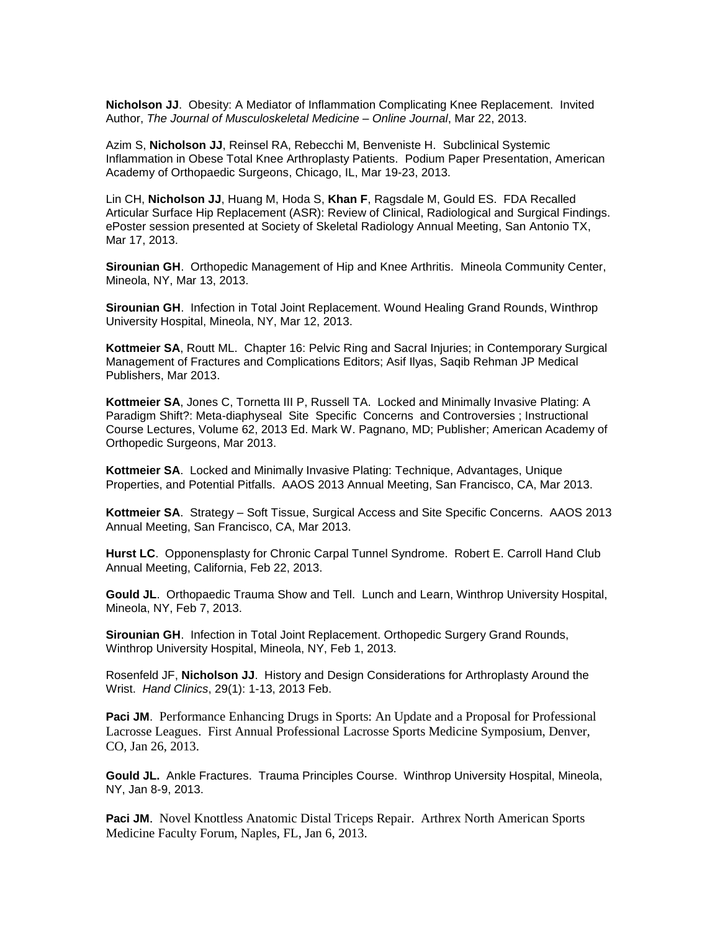**Nicholson JJ**. Obesity: A Mediator of Inflammation Complicating Knee Replacement. Invited Author, *The Journal of Musculoskeletal Medicine – Online Journal*, Mar 22, 2013.

Azim S, **Nicholson JJ**, Reinsel RA, Rebecchi M, Benveniste H. Subclinical Systemic Inflammation in Obese Total Knee Arthroplasty Patients. Podium Paper Presentation, American Academy of Orthopaedic Surgeons, Chicago, IL, Mar 19-23, 2013.

Lin CH, **Nicholson JJ**, Huang M, Hoda S, **Khan F**, Ragsdale M, Gould ES. FDA Recalled Articular Surface Hip Replacement (ASR): Review of Clinical, Radiological and Surgical Findings. ePoster session presented at Society of Skeletal Radiology Annual Meeting, San Antonio TX, Mar 17, 2013.

**Sirounian GH**. Orthopedic Management of Hip and Knee Arthritis. Mineola Community Center, Mineola, NY, Mar 13, 2013.

**Sirounian GH**. Infection in Total Joint Replacement. Wound Healing Grand Rounds, Winthrop University Hospital, Mineola, NY, Mar 12, 2013.

**Kottmeier SA**, Routt ML. Chapter 16: Pelvic Ring and Sacral Injuries; in Contemporary Surgical Management of Fractures and Complications Editors; Asif Ilyas, Saqib Rehman JP Medical Publishers, Mar 2013.

**Kottmeier SA**, Jones C, Tornetta III P, Russell TA. Locked and Minimally Invasive Plating: A Paradigm Shift?: Meta-diaphyseal Site Specific Concerns and Controversies ; Instructional Course Lectures, Volume 62, 2013 Ed. Mark W. Pagnano, MD; Publisher; American Academy of Orthopedic Surgeons, Mar 2013.

**Kottmeier SA**.Locked and Minimally Invasive Plating: Technique, Advantages, Unique Properties, and Potential Pitfalls. AAOS 2013 Annual Meeting, San Francisco, CA, Mar 2013.

**Kottmeier SA**.Strategy – Soft Tissue, Surgical Access and Site Specific Concerns. AAOS 2013 Annual Meeting, San Francisco, CA, Mar 2013.

**Hurst LC**. Opponensplasty for Chronic Carpal Tunnel Syndrome. Robert E. Carroll Hand Club Annual Meeting, California, Feb 22, 2013.

**Gould JL**. Orthopaedic Trauma Show and Tell. Lunch and Learn, Winthrop University Hospital, Mineola, NY, Feb 7, 2013.

**Sirounian GH**. Infection in Total Joint Replacement. Orthopedic Surgery Grand Rounds, Winthrop University Hospital, Mineola, NY, Feb 1, 2013.

Rosenfeld JF, **Nicholson JJ**. History and Design Considerations for Arthroplasty Around the Wrist. *Hand Clinics*, 29(1): 1-13, 2013 Feb.

**Paci JM**. Performance Enhancing Drugs in Sports: An Update and a Proposal for Professional Lacrosse Leagues. First Annual Professional Lacrosse Sports Medicine Symposium, Denver, CO, Jan 26, 2013.

**Gould JL.** Ankle Fractures. Trauma Principles Course. Winthrop University Hospital, Mineola, NY, Jan 8-9, 2013.

**Paci JM.** Novel Knottless Anatomic Distal Triceps Repair. Arthrex North American Sports Medicine Faculty Forum, Naples, FL, Jan 6, 2013.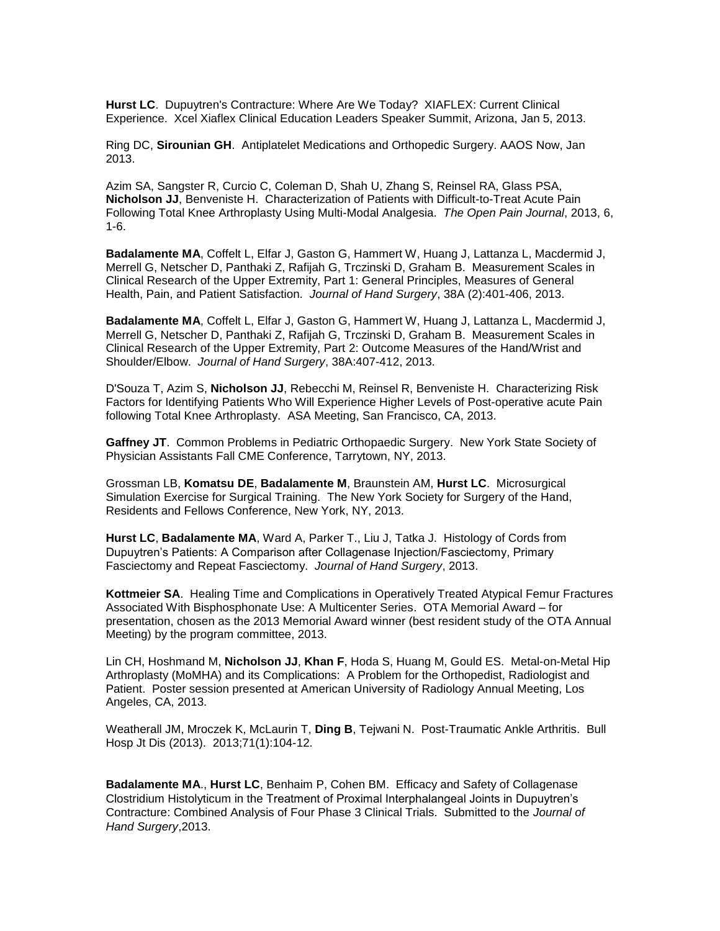**Hurst LC**. Dupuytren's Contracture: Where Are We Today? XIAFLEX: Current Clinical Experience. Xcel Xiaflex Clinical Education Leaders Speaker Summit, Arizona, Jan 5, 2013.

Ring DC, **Sirounian GH**. Antiplatelet Medications and Orthopedic Surgery. AAOS Now, Jan 2013.

Azim SA, Sangster R, Curcio C, Coleman D, Shah U, Zhang S, Reinsel RA, Glass PSA, **Nicholson JJ**, Benveniste H. Characterization of Patients with Difficult-to-Treat Acute Pain Following Total Knee Arthroplasty Using Multi-Modal Analgesia. *The Open Pain Journal*, 2013, 6, 1-6.

**Badalamente MA**, Coffelt L, Elfar J, Gaston G, Hammert W, Huang J, Lattanza L, Macdermid J, Merrell G, Netscher D, Panthaki Z, Rafijah G, Trczinski D, Graham B. Measurement Scales in Clinical Research of the Upper Extremity, Part 1: General Principles, Measures of General Health, Pain, and Patient Satisfaction. *Journal of Hand Surgery*, 38A (2):401-406, 2013.

**Badalamente MA**, Coffelt L, Elfar J, Gaston G, Hammert W, Huang J, Lattanza L, Macdermid J, Merrell G, Netscher D, Panthaki Z, Rafijah G, Trczinski D, Graham B. Measurement Scales in Clinical Research of the Upper Extremity, Part 2: Outcome Measures of the Hand/Wrist and Shoulder/Elbow. *Journal of Hand Surgery*, 38A:407-412, 2013.

D'Souza T, Azim S, **Nicholson JJ**, Rebecchi M, Reinsel R, Benveniste H. Characterizing Risk Factors for Identifying Patients Who Will Experience Higher Levels of Post-operative acute Pain following Total Knee Arthroplasty. ASA Meeting, San Francisco, CA, 2013.

**Gaffney JT**. Common Problems in Pediatric Orthopaedic Surgery. New York State Society of Physician Assistants Fall CME Conference, Tarrytown, NY, 2013.

Grossman LB, **Komatsu DE**, **Badalamente M**, Braunstein AM, **Hurst LC**. Microsurgical Simulation Exercise for Surgical Training. The New York Society for Surgery of the Hand, Residents and Fellows Conference, New York, NY, 2013.

**Hurst LC**, **Badalamente MA**, Ward A, Parker T., Liu J, Tatka J. Histology of Cords from Dupuytren's Patients: A Comparison after Collagenase Injection/Fasciectomy, Primary Fasciectomy and Repeat Fasciectomy. *Journal of Hand Surgery*, 2013.

**Kottmeier SA**.Healing Time and Complications in Operatively Treated Atypical Femur Fractures Associated With Bisphosphonate Use: A Multicenter Series. OTA Memorial Award – for presentation, chosen as the 2013 Memorial Award winner (best resident study of the OTA Annual Meeting) by the program committee, 2013.

Lin CH, Hoshmand M, **Nicholson JJ**, **Khan F**, Hoda S, Huang M, Gould ES. Metal-on-Metal Hip Arthroplasty (MoMHA) and its Complications: A Problem for the Orthopedist, Radiologist and Patient. Poster session presented at American University of Radiology Annual Meeting, Los Angeles, CA, 2013.

Weatherall JM, Mroczek K, McLaurin T, **Ding B**, Tejwani N. Post-Traumatic Ankle Arthritis. Bull Hosp Jt Dis (2013). 2013;71(1):104-12.

**Badalamente MA**., **Hurst LC**, Benhaim P, Cohen BM. Efficacy and Safety of Collagenase Clostridium Histolyticum in the Treatment of Proximal Interphalangeal Joints in Dupuytren's Contracture: Combined Analysis of Four Phase 3 Clinical Trials. Submitted to the *Journal of Hand Surgery*,2013.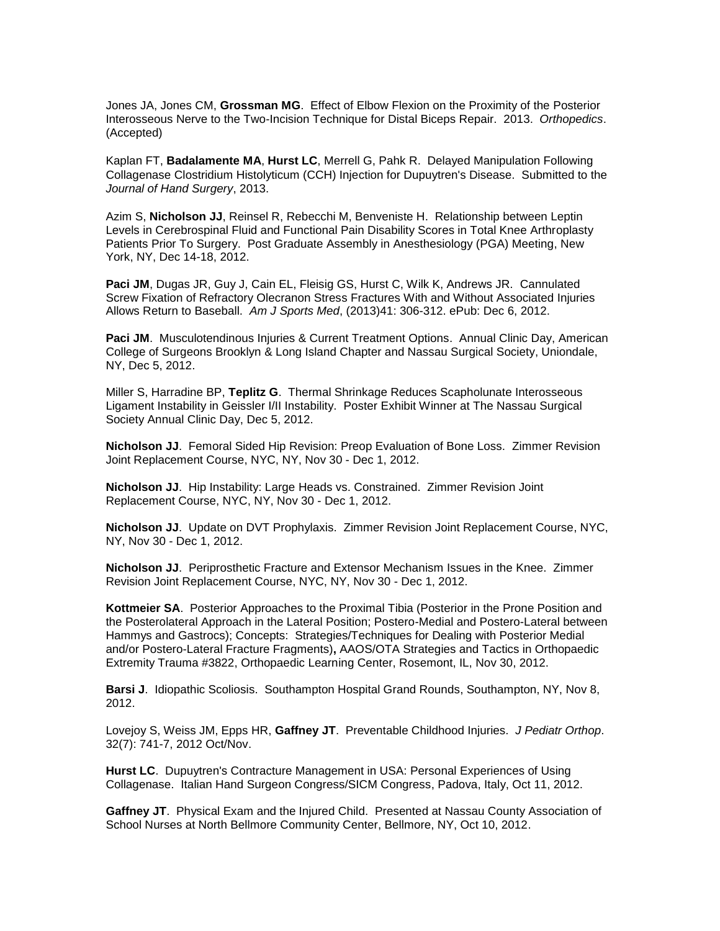Jones JA, Jones CM, **Grossman MG**. Effect of Elbow Flexion on the Proximity of the Posterior Interosseous Nerve to the Two-Incision Technique for Distal Biceps Repair. 2013. *Orthopedics*. (Accepted)

Kaplan FT, **Badalamente MA**, **Hurst LC**, Merrell G, Pahk R. Delayed Manipulation Following Collagenase Clostridium Histolyticum (CCH) Injection for Dupuytren's Disease. Submitted to the *Journal of Hand Surgery*, 2013.

Azim S, **Nicholson JJ**, Reinsel R, Rebecchi M, Benveniste H. Relationship between Leptin Levels in Cerebrospinal Fluid and Functional Pain Disability Scores in Total Knee Arthroplasty Patients Prior To Surgery. Post Graduate Assembly in Anesthesiology (PGA) Meeting, New York, NY, Dec 14-18, 2012.

**Paci JM**, Dugas JR, Guy J, Cain EL, Fleisig GS, Hurst C, Wilk K, Andrews JR. Cannulated Screw Fixation of Refractory Olecranon Stress Fractures With and Without Associated Injuries Allows Return to Baseball. *Am J Sports Med*, (2013)41: 306-312. ePub: Dec 6, 2012.

**Paci JM**. Musculotendinous Injuries & Current Treatment Options. Annual Clinic Day, American College of Surgeons Brooklyn & Long Island Chapter and Nassau Surgical Society, Uniondale, NY, Dec 5, 2012.

Miller S, Harradine BP, **Teplitz G**. Thermal Shrinkage Reduces Scapholunate Interosseous Ligament Instability in Geissler I/II Instability. Poster Exhibit Winner at The Nassau Surgical Society Annual Clinic Day, Dec 5, 2012.

**Nicholson JJ**. Femoral Sided Hip Revision: Preop Evaluation of Bone Loss. Zimmer Revision Joint Replacement Course, NYC, NY, Nov 30 - Dec 1, 2012.

**Nicholson JJ**. Hip Instability: Large Heads vs. Constrained. Zimmer Revision Joint Replacement Course, NYC, NY, Nov 30 - Dec 1, 2012.

**Nicholson JJ**. Update on DVT Prophylaxis. Zimmer Revision Joint Replacement Course, NYC, NY, Nov 30 - Dec 1, 2012.

**Nicholson JJ**. Periprosthetic Fracture and Extensor Mechanism Issues in the Knee. Zimmer Revision Joint Replacement Course, NYC, NY, Nov 30 - Dec 1, 2012.

**Kottmeier SA**.Posterior Approaches to the Proximal Tibia (Posterior in the Prone Position and the Posterolateral Approach in the Lateral Position; Postero-Medial and Postero-Lateral between Hammys and Gastrocs); Concepts: Strategies/Techniques for Dealing with Posterior Medial and/or Postero-Lateral Fracture Fragments)**,** AAOS/OTA Strategies and Tactics in Orthopaedic Extremity Trauma #3822, Orthopaedic Learning Center, Rosemont, IL, Nov 30, 2012.

**Barsi J**. Idiopathic Scoliosis. Southampton Hospital Grand Rounds, Southampton, NY, Nov 8, 2012.

Lovejoy S, Weiss JM, Epps HR, **Gaffney JT**. Preventable Childhood Injuries. *J Pediatr Orthop*. 32(7): 741-7, 2012 Oct/Nov.

**Hurst LC**. Dupuytren's Contracture Management in USA: Personal Experiences of Using Collagenase. Italian Hand Surgeon Congress/SICM Congress, Padova, Italy, Oct 11, 2012.

**Gaffney JT**. Physical Exam and the Injured Child. Presented at Nassau County Association of School Nurses at North Bellmore Community Center, Bellmore, NY, Oct 10, 2012.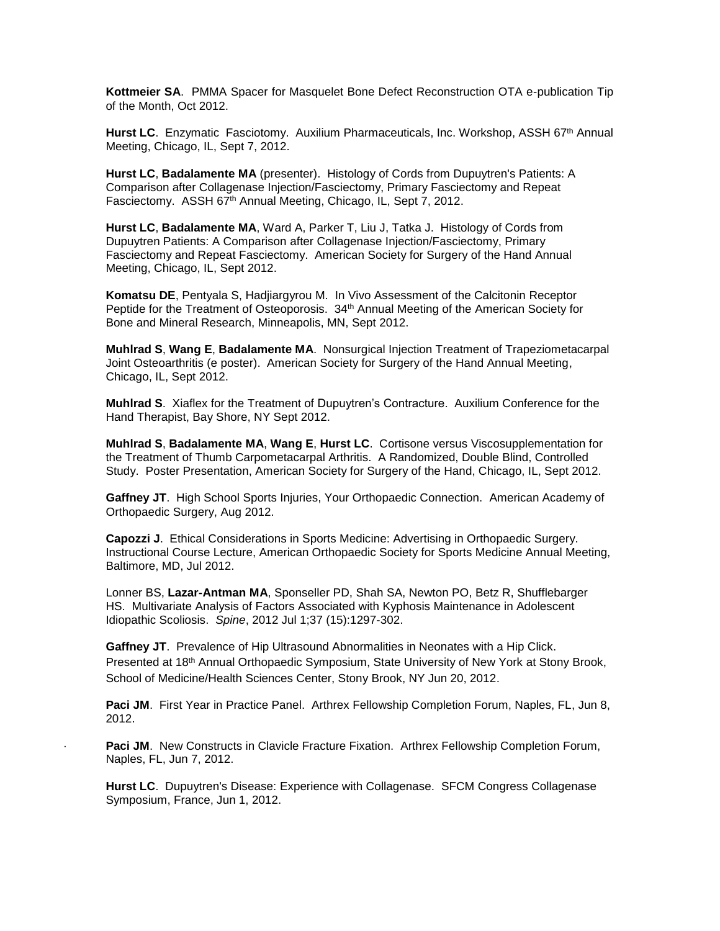**Kottmeier SA**. PMMA Spacer for Masquelet Bone Defect Reconstruction OTA e-publication Tip of the Month, Oct 2012.

**Hurst LC.** Enzymatic Fasciotomy. Auxilium Pharmaceuticals, Inc. Workshop, ASSH 67<sup>th</sup> Annual Meeting, Chicago, IL, Sept 7, 2012.

**Hurst LC**, **Badalamente MA** (presenter). Histology of Cords from Dupuytren's Patients: A Comparison after Collagenase Injection/Fasciectomy, Primary Fasciectomy and Repeat Fasciectomy. ASSH 67<sup>th</sup> Annual Meeting, Chicago, IL, Sept 7, 2012.

**Hurst LC**, **Badalamente MA**, Ward A, Parker T, Liu J, Tatka J. Histology of Cords from Dupuytren Patients: A Comparison after Collagenase Injection/Fasciectomy, Primary Fasciectomy and Repeat Fasciectomy. American Society for Surgery of the Hand Annual Meeting, Chicago, IL, Sept 2012.

**Komatsu DE**, Pentyala S, Hadjiargyrou M. In Vivo Assessment of the Calcitonin Receptor Peptide for the Treatment of Osteoporosis. 34th Annual Meeting of the American Society for Bone and Mineral Research, Minneapolis, MN, Sept 2012.

**Muhlrad S**, **Wang E**, **Badalamente MA**. Nonsurgical Injection Treatment of Trapeziometacarpal Joint Osteoarthritis (e poster). American Society for Surgery of the Hand Annual Meeting, Chicago, IL, Sept 2012.

**Muhlrad S**. Xiaflex for the Treatment of Dupuytren's Contracture. Auxilium Conference for the Hand Therapist, Bay Shore, NY Sept 2012.

**Muhlrad S**, **Badalamente MA**, **Wang E**, **Hurst LC**. Cortisone versus Viscosupplementation for the Treatment of Thumb Carpometacarpal Arthritis. A Randomized, Double Blind, Controlled Study. Poster Presentation, American Society for Surgery of the Hand, Chicago, IL, Sept 2012.

**Gaffney JT**. High School Sports Injuries, Your Orthopaedic Connection. American Academy of Orthopaedic Surgery, Aug 2012.

**Capozzi J**. Ethical Considerations in Sports Medicine: Advertising in Orthopaedic Surgery. Instructional Course Lecture, American Orthopaedic Society for Sports Medicine Annual Meeting, Baltimore, MD, Jul 2012.

Lonner BS, **Lazar-Antman MA**, Sponseller PD, Shah SA, Newton PO, Betz R, Shufflebarger HS. Multivariate Analysis of Factors Associated with Kyphosis Maintenance in Adolescent Idiopathic Scoliosis. *Spine*, 2012 Jul 1;37 (15):1297-302.

**Gaffney JT**. Prevalence of Hip Ultrasound Abnormalities in Neonates with a Hip Click. Presented at 18th Annual Orthopaedic Symposium, State University of New York at Stony Brook, School of Medicine/Health Sciences Center, Stony Brook, NY Jun 20, 2012.

**Paci JM**. First Year in Practice Panel. Arthrex Fellowship Completion Forum, Naples, FL, Jun 8, 2012.

Paci JM. New Constructs in Clavicle Fracture Fixation. Arthrex Fellowship Completion Forum, Naples, FL, Jun 7, 2012.

**Hurst LC**. Dupuytren's Disease: Experience with Collagenase. SFCM Congress Collagenase Symposium, France, Jun 1, 2012.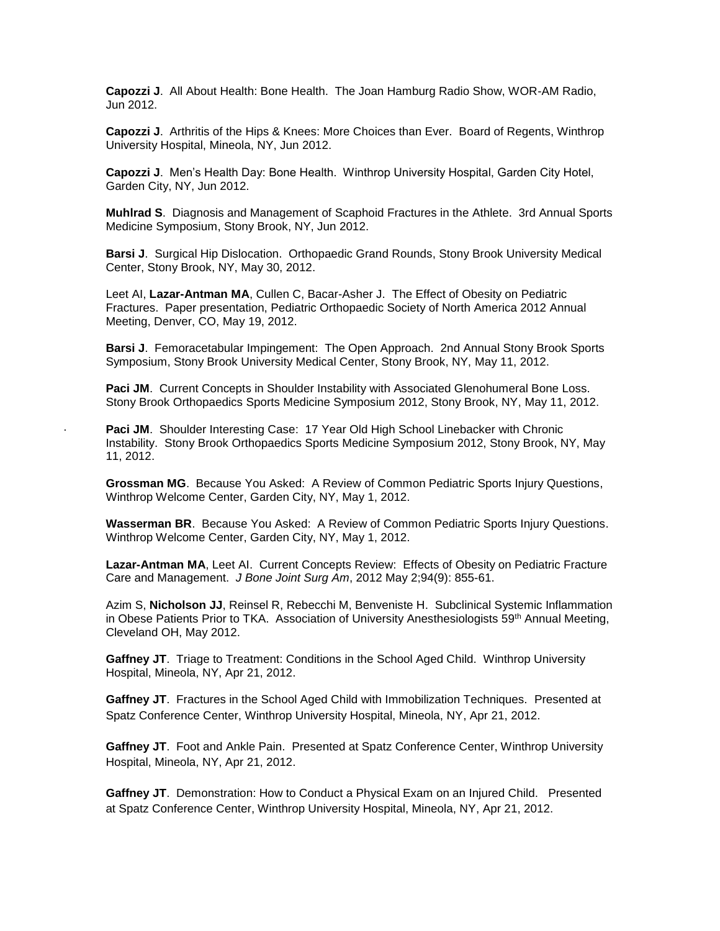**Capozzi J**. All About Health: Bone Health. The Joan Hamburg Radio Show, WOR-AM Radio, Jun 2012.

**Capozzi J**. Arthritis of the Hips & Knees: More Choices than Ever. Board of Regents, Winthrop University Hospital, Mineola, NY, Jun 2012.

**Capozzi J**. Men's Health Day: Bone Health. Winthrop University Hospital, Garden City Hotel, Garden City, NY, Jun 2012.

**Muhlrad S**. Diagnosis and Management of Scaphoid Fractures in the Athlete. 3rd Annual Sports Medicine Symposium, Stony Brook, NY, Jun 2012.

**Barsi J**. Surgical Hip Dislocation. Orthopaedic Grand Rounds, Stony Brook University Medical Center, Stony Brook, NY, May 30, 2012.

Leet AI, **Lazar-Antman MA**, Cullen C, Bacar-Asher J. The Effect of Obesity on Pediatric Fractures. Paper presentation, Pediatric Orthopaedic Society of North America 2012 Annual Meeting, Denver, CO, May 19, 2012.

**Barsi J**. Femoracetabular Impingement: The Open Approach. 2nd Annual Stony Brook Sports Symposium, Stony Brook University Medical Center, Stony Brook, NY, May 11, 2012.

Paci JM. Current Concepts in Shoulder Instability with Associated Glenohumeral Bone Loss. Stony Brook Orthopaedics Sports Medicine Symposium 2012, Stony Brook, NY, May 11, 2012.

**Paci JM**. Shoulder Interesting Case: 17 Year Old High School Linebacker with Chronic Instability. Stony Brook Orthopaedics Sports Medicine Symposium 2012, Stony Brook, NY, May 11, 2012.

**Grossman MG**. Because You Asked: A Review of Common Pediatric Sports Injury Questions, Winthrop Welcome Center, Garden City, NY, May 1, 2012.

**Wasserman BR**. Because You Asked: A Review of Common Pediatric Sports Injury Questions. Winthrop Welcome Center, Garden City, NY, May 1, 2012.

**Lazar-Antman MA**, Leet AI. Current Concepts Review: Effects of Obesity on Pediatric Fracture Care and Management. *J Bone Joint Surg Am*, 2012 May 2;94(9): 855-61.

Azim S, **Nicholson JJ**, Reinsel R, Rebecchi M, Benveniste H. Subclinical Systemic Inflammation in Obese Patients Prior to TKA. Association of University Anesthesiologists 59<sup>th</sup> Annual Meeting, Cleveland OH, May 2012.

**Gaffney JT**. Triage to Treatment: Conditions in the School Aged Child. Winthrop University Hospital, Mineola, NY, Apr 21, 2012.

**Gaffney JT**. Fractures in the School Aged Child with Immobilization Techniques. Presented at Spatz Conference Center, Winthrop University Hospital, Mineola, NY, Apr 21, 2012.

**Gaffney JT**. Foot and Ankle Pain. Presented at Spatz Conference Center, Winthrop University Hospital, Mineola, NY, Apr 21, 2012.

**Gaffney JT**. Demonstration: How to Conduct a Physical Exam on an Injured Child. Presented at Spatz Conference Center, Winthrop University Hospital, Mineola, NY, Apr 21, 2012.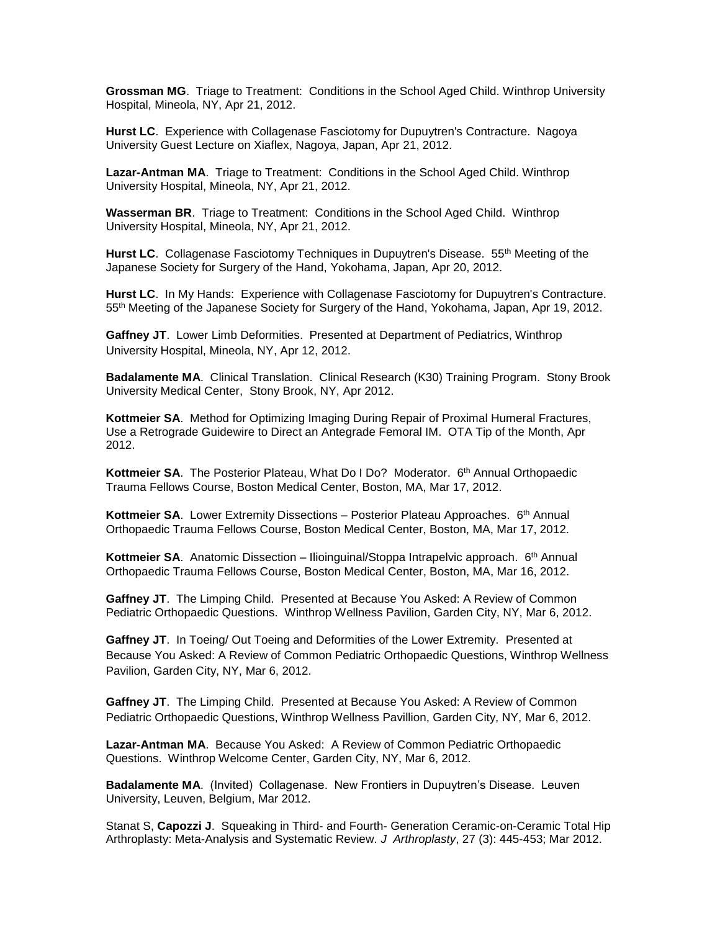**Grossman MG**.Triage to Treatment: Conditions in the School Aged Child. Winthrop University Hospital, Mineola, NY, Apr 21, 2012.

**Hurst LC**. Experience with Collagenase Fasciotomy for Dupuytren's Contracture. Nagoya University Guest Lecture on Xiaflex, Nagoya, Japan, Apr 21, 2012.

**Lazar-Antman MA**. Triage to Treatment: Conditions in the School Aged Child. Winthrop University Hospital, Mineola, NY, Apr 21, 2012.

**Wasserman BR**. Triage to Treatment: Conditions in the School Aged Child. Winthrop University Hospital, Mineola, NY, Apr 21, 2012.

Hurst LC. Collagenase Fasciotomy Techniques in Dupuytren's Disease. 55<sup>th</sup> Meeting of the Japanese Society for Surgery of the Hand, Yokohama, Japan, Apr 20, 2012.

**Hurst LC**. In My Hands: Experience with Collagenase Fasciotomy for Dupuytren's Contracture. 55th Meeting of the Japanese Society for Surgery of the Hand, Yokohama, Japan, Apr 19, 2012.

**Gaffney JT**. Lower Limb Deformities. Presented at Department of Pediatrics, Winthrop University Hospital, Mineola, NY, Apr 12, 2012.

**Badalamente MA**. Clinical Translation. Clinical Research (K30) Training Program. Stony Brook University Medical Center, Stony Brook, NY, Apr 2012.

**Kottmeier SA**. Method for Optimizing Imaging During Repair of Proximal Humeral Fractures, Use a Retrograde Guidewire to Direct an Antegrade Femoral IM. OTA Tip of the Month, Apr 2012.

**Kottmeier SA**.The Posterior Plateau, What Do I Do? Moderator. 6 th Annual Orthopaedic Trauma Fellows Course, Boston Medical Center, Boston, MA, Mar 17, 2012.

**Kottmeier SA.** Lower Extremity Dissections - Posterior Plateau Approaches. 6<sup>th</sup> Annual Orthopaedic Trauma Fellows Course, Boston Medical Center, Boston, MA, Mar 17, 2012.

**Kottmeier SA.** Anatomic Dissection – Ilioinguinal/Stoppa Intrapelvic approach. 6<sup>th</sup> Annual Orthopaedic Trauma Fellows Course, Boston Medical Center, Boston, MA, Mar 16, 2012.

**Gaffney JT**. The Limping Child. Presented at Because You Asked: A Review of Common Pediatric Orthopaedic Questions. Winthrop Wellness Pavilion, Garden City, NY, Mar 6, 2012.

**Gaffney JT**. In Toeing/ Out Toeing and Deformities of the Lower Extremity. Presented at Because You Asked: A Review of Common Pediatric Orthopaedic Questions, Winthrop Wellness Pavilion, Garden City, NY, Mar 6, 2012.

**Gaffney JT**. The Limping Child. Presented at Because You Asked: A Review of Common Pediatric Orthopaedic Questions, Winthrop Wellness Pavillion, Garden City, NY, Mar 6, 2012.

**Lazar-Antman MA**. Because You Asked: A Review of Common Pediatric Orthopaedic Questions. Winthrop Welcome Center, Garden City, NY, Mar 6, 2012.

**Badalamente MA**. (Invited) Collagenase. New Frontiers in Dupuytren's Disease. Leuven University, Leuven, Belgium, Mar 2012.

Stanat S, **Capozzi J**. Squeaking in Third- and Fourth- Generation Ceramic-on-Ceramic Total Hip Arthroplasty: Meta-Analysis and Systematic Review. *J Arthroplasty*, 27 (3): 445-453; Mar 2012.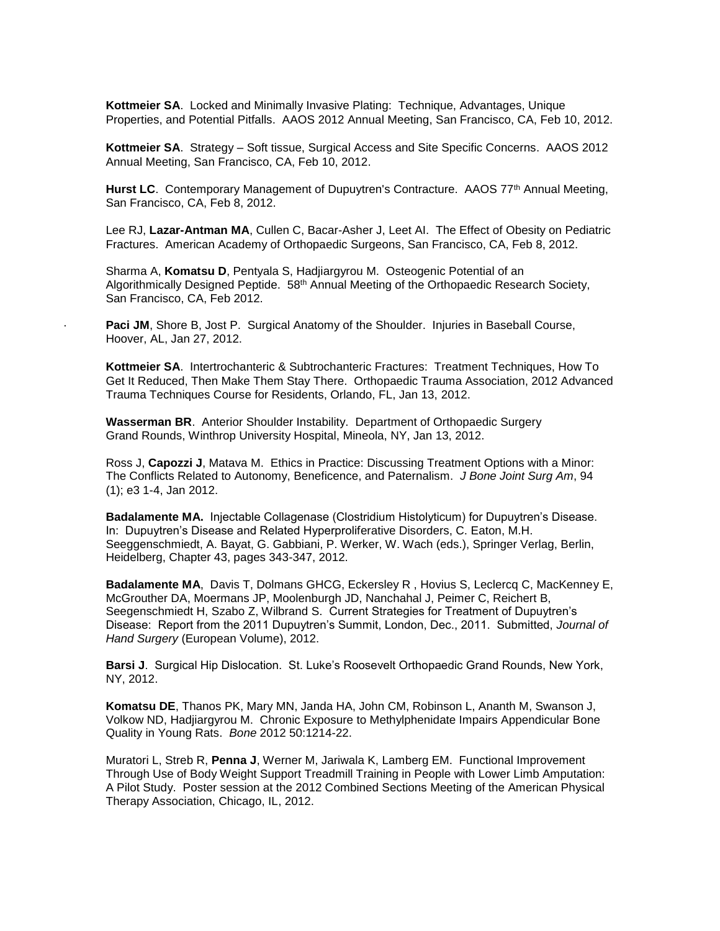**Kottmeier SA**.Locked and Minimally Invasive Plating: Technique, Advantages, Unique Properties, and Potential Pitfalls. AAOS 2012 Annual Meeting, San Francisco, CA, Feb 10, 2012.

**Kottmeier SA**.Strategy – Soft tissue, Surgical Access and Site Specific Concerns. AAOS 2012 Annual Meeting, San Francisco, CA, Feb 10, 2012.

Hurst LC. Contemporary Management of Dupuytren's Contracture. AAOS 77<sup>th</sup> Annual Meeting, San Francisco, CA, Feb 8, 2012.

Lee RJ, **Lazar-Antman MA**, Cullen C, Bacar-Asher J, Leet AI. The Effect of Obesity on Pediatric Fractures. American Academy of Orthopaedic Surgeons, San Francisco, CA, Feb 8, 2012.

Sharma A, **Komatsu D**, Pentyala S, Hadjiargyrou M. Osteogenic Potential of an Algorithmically Designed Peptide. 58<sup>th</sup> Annual Meeting of the Orthopaedic Research Society, San Francisco, CA, Feb 2012.

Paci JM, Shore B, Jost P. Surgical Anatomy of the Shoulder. Injuries in Baseball Course, Hoover, AL, Jan 27, 2012.

**Kottmeier SA**.Intertrochanteric & Subtrochanteric Fractures: Treatment Techniques, How To Get It Reduced, Then Make Them Stay There. Orthopaedic Trauma Association, 2012 Advanced Trauma Techniques Course for Residents, Orlando, FL, Jan 13, 2012.

**Wasserman BR**. Anterior Shoulder Instability. Department of Orthopaedic Surgery Grand Rounds, Winthrop University Hospital, Mineola, NY, Jan 13, 2012.

Ross J, **Capozzi J**, Matava M. Ethics in Practice: Discussing Treatment Options with a Minor: The Conflicts Related to Autonomy, Beneficence, and Paternalism. *J Bone Joint Surg Am*, 94 (1); e3 1-4, Jan 2012.

**Badalamente MA.** Injectable Collagenase (Clostridium Histolyticum) for Dupuytren's Disease. In: Dupuytren's Disease and Related Hyperproliferative Disorders, C. Eaton, M.H. Seeggenschmiedt, A. Bayat, G. Gabbiani, P. Werker, W. Wach (eds.), Springer Verlag, Berlin, Heidelberg, Chapter 43, pages 343-347, 2012.

**Badalamente MA**, Davis T, Dolmans GHCG, Eckersley R , Hovius S, Leclercq C, MacKenney E, McGrouther DA, Moermans JP, Moolenburgh JD, Nanchahal J, Peimer C, Reichert B, Seegenschmiedt H, Szabo Z, Wilbrand S. Current Strategies for Treatment of Dupuytren's Disease: Report from the 2011 Dupuytren's Summit, London, Dec., 2011. Submitted, *Journal of Hand Surgery* (European Volume), 2012.

**Barsi J**. Surgical Hip Dislocation. St. Luke's Roosevelt Orthopaedic Grand Rounds, New York, NY, 2012.

**Komatsu DE**, Thanos PK, Mary MN, Janda HA, John CM, Robinson L, Ananth M, Swanson J, Volkow ND, Hadjiargyrou M. Chronic Exposure to Methylphenidate Impairs Appendicular Bone Quality in Young Rats. *Bone* 2012 50:1214-22.

Muratori L, Streb R, **Penna J**, Werner M, Jariwala K, Lamberg EM. Functional Improvement Through Use of Body Weight Support Treadmill Training in People with Lower Limb Amputation: A Pilot Study. Poster session at the 2012 Combined Sections Meeting of the American Physical Therapy Association, Chicago, IL, 2012.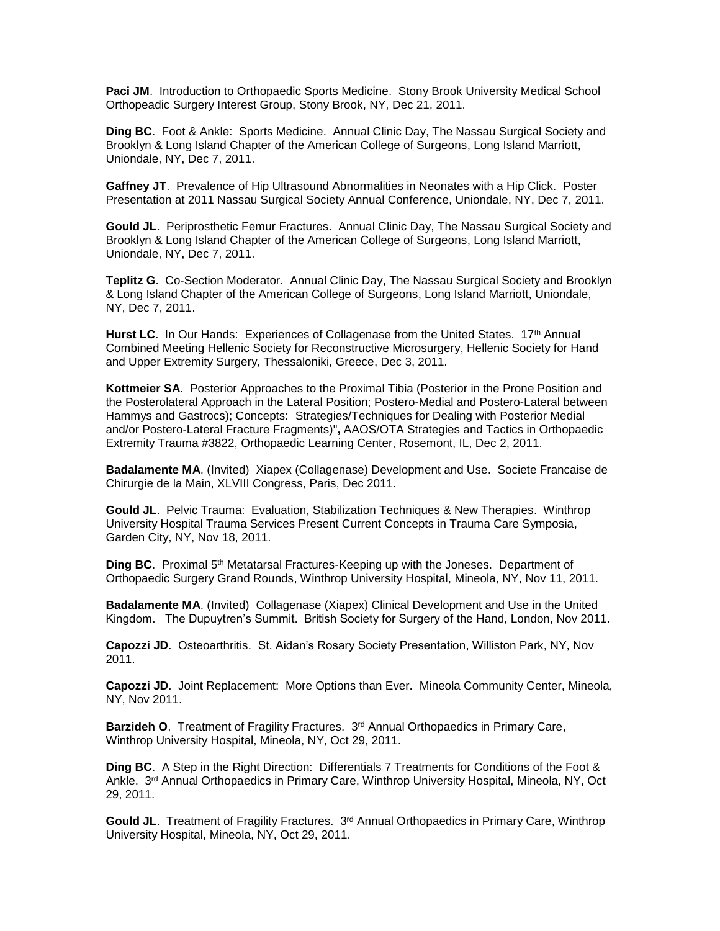**Paci JM**. Introduction to Orthopaedic Sports Medicine. Stony Brook University Medical School Orthopeadic Surgery Interest Group, Stony Brook, NY, Dec 21, 2011.

**Ding BC**. Foot & Ankle: Sports Medicine. Annual Clinic Day, The Nassau Surgical Society and Brooklyn & Long Island Chapter of the American College of Surgeons, Long Island Marriott, Uniondale, NY, Dec 7, 2011.

**Gaffney JT**. Prevalence of Hip Ultrasound Abnormalities in Neonates with a Hip Click. Poster Presentation at 2011 Nassau Surgical Society Annual Conference, Uniondale, NY, Dec 7, 2011.

**Gould JL**. Periprosthetic Femur Fractures.Annual Clinic Day, The Nassau Surgical Society and Brooklyn & Long Island Chapter of the American College of Surgeons, Long Island Marriott, Uniondale, NY, Dec 7, 2011.

**Teplitz G**. Co-Section Moderator. Annual Clinic Day, The Nassau Surgical Society and Brooklyn & Long Island Chapter of the American College of Surgeons, Long Island Marriott, Uniondale, NY, Dec 7, 2011.

Hurst LC. In Our Hands: Experiences of Collagenase from the United States. 17<sup>th</sup> Annual Combined Meeting Hellenic Society for Reconstructive Microsurgery, Hellenic Society for Hand and Upper Extremity Surgery, Thessaloniki, Greece, Dec 3, 2011.

**Kottmeier SA**.Posterior Approaches to the Proximal Tibia (Posterior in the Prone Position and the Posterolateral Approach in the Lateral Position; Postero-Medial and Postero-Lateral between Hammys and Gastrocs); Concepts: Strategies/Techniques for Dealing with Posterior Medial and/or Postero-Lateral Fracture Fragments)"**,** AAOS/OTA Strategies and Tactics in Orthopaedic Extremity Trauma #3822, Orthopaedic Learning Center, Rosemont, IL, Dec 2, 2011.

**Badalamente MA**. (Invited) Xiapex (Collagenase) Development and Use. Societe Francaise de Chirurgie de la Main, XLVIII Congress, Paris, Dec 2011.

**Gould JL**. Pelvic Trauma: Evaluation, Stabilization Techniques & New Therapies. Winthrop University Hospital Trauma Services Present Current Concepts in Trauma Care Symposia, Garden City, NY, Nov 18, 2011.

**Ding BC**. Proximal 5th Metatarsal Fractures-Keeping up with the Joneses. Department of Orthopaedic Surgery Grand Rounds, Winthrop University Hospital, Mineola, NY, Nov 11, 2011.

**Badalamente MA**. (Invited) Collagenase (Xiapex) Clinical Development and Use in the United Kingdom. The Dupuytren's Summit. British Society for Surgery of the Hand, London, Nov 2011.

**Capozzi JD**. Osteoarthritis. St. Aidan's Rosary Society Presentation, Williston Park, NY, Nov 2011.

**Capozzi JD**. Joint Replacement: More Options than Ever. Mineola Community Center, Mineola, NY, Nov 2011.

Barzideh O. Treatment of Fragility Fractures. 3<sup>rd</sup> Annual Orthopaedics in Primary Care, Winthrop University Hospital, Mineola, NY, Oct 29, 2011.

**Ding BC**. A Step in the Right Direction: Differentials 7 Treatments for Conditions of the Foot & Ankle. 3<sup>rd</sup> Annual Orthopaedics in Primary Care, Winthrop University Hospital, Mineola, NY, Oct 29, 2011.

Gould JL. Treatment of Fragility Fractures. 3<sup>rd</sup> Annual Orthopaedics in Primary Care, Winthrop University Hospital, Mineola, NY, Oct 29, 2011.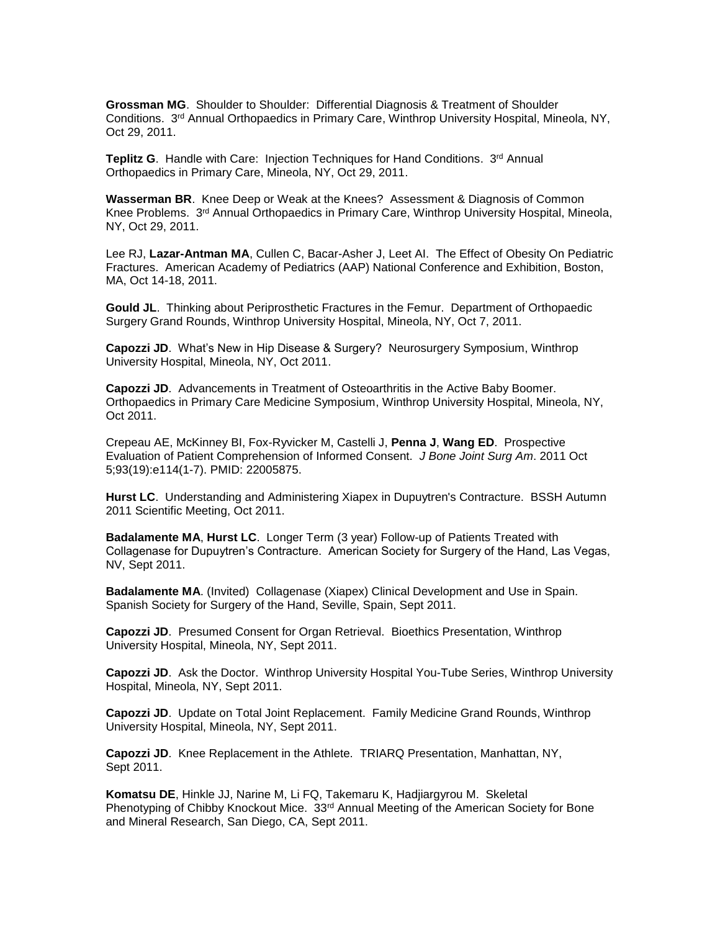**Grossman MG**. Shoulder to Shoulder: Differential Diagnosis & Treatment of Shoulder Conditions. 3<sup>rd</sup> Annual Orthopaedics in Primary Care, Winthrop University Hospital, Mineola, NY, Oct 29, 2011.

Teplitz G. Handle with Care: Injection Techniques for Hand Conditions. 3<sup>rd</sup> Annual Orthopaedics in Primary Care, Mineola, NY, Oct 29, 2011.

**Wasserman BR**. Knee Deep or Weak at the Knees? Assessment & Diagnosis of Common Knee Problems. 3<sup>rd</sup> Annual Orthopaedics in Primary Care, Winthrop University Hospital, Mineola, NY, Oct 29, 2011.

Lee RJ, **Lazar-Antman MA**, Cullen C, Bacar-Asher J, Leet AI. The Effect of Obesity On Pediatric Fractures. American Academy of Pediatrics (AAP) National Conference and Exhibition, Boston, MA, Oct 14-18, 2011.

**Gould JL**. Thinking about Periprosthetic Fractures in the Femur. Department of Orthopaedic Surgery Grand Rounds, Winthrop University Hospital, Mineola, NY, Oct 7, 2011.

**Capozzi JD**. What's New in Hip Disease & Surgery? Neurosurgery Symposium, Winthrop University Hospital, Mineola, NY, Oct 2011.

**Capozzi JD**. Advancements in Treatment of Osteoarthritis in the Active Baby Boomer. Orthopaedics in Primary Care Medicine Symposium, Winthrop University Hospital, Mineola, NY, Oct 2011.

Crepeau AE, McKinney BI, Fox-Ryvicker M, Castelli J, **Penna J**, **Wang ED**. Prospective Evaluation of Patient Comprehension of Informed Consent. *J Bone Joint Surg Am*. 2011 Oct 5;93(19):e114(1-7). PMID: 22005875.

**Hurst LC**. Understanding and Administering Xiapex in Dupuytren's Contracture. BSSH Autumn 2011 Scientific Meeting, Oct 2011.

**Badalamente MA**, **Hurst LC**. Longer Term (3 year) Follow-up of Patients Treated with Collagenase for Dupuytren's Contracture. American Society for Surgery of the Hand, Las Vegas, NV, Sept 2011.

**Badalamente MA**. (Invited) Collagenase (Xiapex) Clinical Development and Use in Spain. Spanish Society for Surgery of the Hand, Seville, Spain, Sept 2011.

**Capozzi JD**. Presumed Consent for Organ Retrieval. Bioethics Presentation, Winthrop University Hospital, Mineola, NY, Sept 2011.

**Capozzi JD**. Ask the Doctor. Winthrop University Hospital You-Tube Series, Winthrop University Hospital, Mineola, NY, Sept 2011.

**Capozzi JD**. Update on Total Joint Replacement. Family Medicine Grand Rounds, Winthrop University Hospital, Mineola, NY, Sept 2011.

**Capozzi JD**. Knee Replacement in the Athlete. TRIARQ Presentation, Manhattan, NY, Sept 2011.

**Komatsu DE**, Hinkle JJ, Narine M, Li FQ, Takemaru K, Hadjiargyrou M. Skeletal Phenotyping of Chibby Knockout Mice. 33<sup>rd</sup> Annual Meeting of the American Society for Bone and Mineral Research, San Diego, CA, Sept 2011.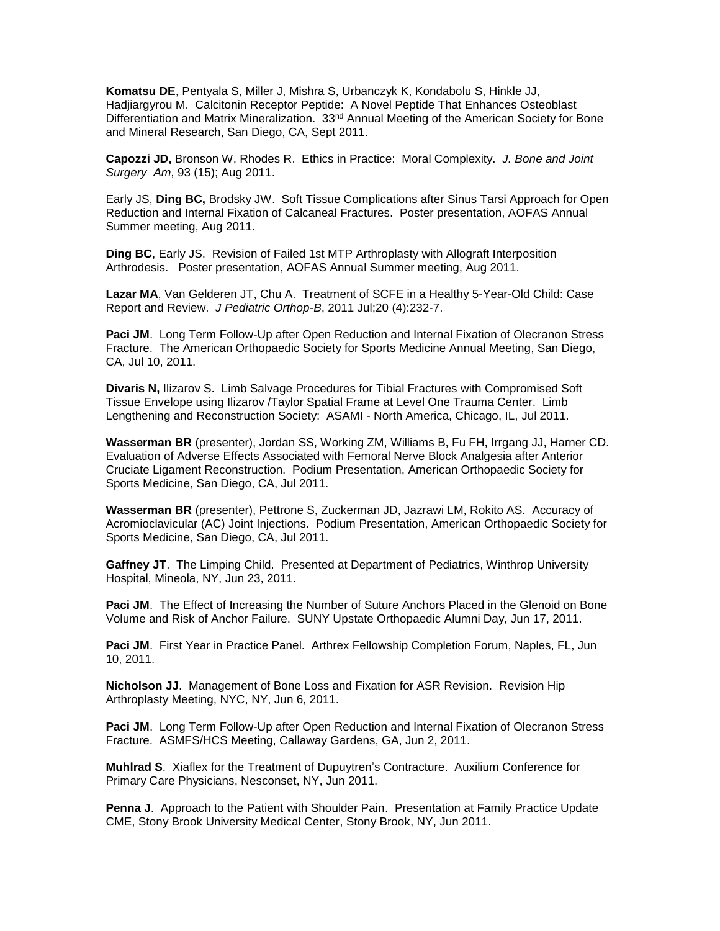**Komatsu DE**, Pentyala S, Miller J, Mishra S, Urbanczyk K, Kondabolu S, Hinkle JJ, Hadjiargyrou M. Calcitonin Receptor Peptide: A Novel Peptide That Enhances Osteoblast Differentiation and Matrix Mineralization. 33<sup>nd</sup> Annual Meeting of the American Society for Bone and Mineral Research, San Diego, CA, Sept 2011.

**Capozzi JD,** Bronson W, Rhodes R. Ethics in Practice: Moral Complexity. *J. Bone and Joint Surgery Am*, 93 (15); Aug 2011.

Early JS, **Ding BC,** Brodsky JW. Soft Tissue Complications after Sinus Tarsi Approach for Open Reduction and Internal Fixation of Calcaneal Fractures. Poster presentation, AOFAS Annual Summer meeting, Aug 2011.

**Ding BC**, Early JS. Revision of Failed 1st MTP Arthroplasty with Allograft Interposition Arthrodesis. Poster presentation, AOFAS Annual Summer meeting, Aug 2011.

**Lazar MA**, Van Gelderen JT, Chu A. Treatment of SCFE in a Healthy 5-Year-Old Child: Case Report and Review. *J Pediatric Orthop-B*, 2011 Jul;20 (4):232-7.

**Paci JM**. Long Term Follow-Up after Open Reduction and Internal Fixation of Olecranon Stress Fracture. The American Orthopaedic Society for Sports Medicine Annual Meeting, San Diego, CA, Jul 10, 2011.

**Divaris N,** Ilizarov S. Limb Salvage Procedures for Tibial Fractures with Compromised Soft Tissue Envelope using Ilizarov /Taylor Spatial Frame at Level One Trauma Center. Limb Lengthening and Reconstruction Society: ASAMI - North America, Chicago, IL, Jul 2011.

**Wasserman BR** (presenter), Jordan SS, Working ZM, Williams B, Fu FH, Irrgang JJ, Harner CD. Evaluation of Adverse Effects Associated with Femoral Nerve Block Analgesia after Anterior Cruciate Ligament Reconstruction. Podium Presentation, American Orthopaedic Society for Sports Medicine, San Diego, CA, Jul 2011.

**Wasserman BR** (presenter), Pettrone S, Zuckerman JD, Jazrawi LM, Rokito AS. Accuracy of Acromioclavicular (AC) Joint Injections. Podium Presentation, American Orthopaedic Society for Sports Medicine, San Diego, CA, Jul 2011.

**Gaffney JT**. The Limping Child. Presented at Department of Pediatrics, Winthrop University Hospital, Mineola, NY, Jun 23, 2011.

**Paci JM**. The Effect of Increasing the Number of Suture Anchors Placed in the Glenoid on Bone Volume and Risk of Anchor Failure. SUNY Upstate Orthopaedic Alumni Day, Jun 17, 2011.

**Paci JM**. First Year in Practice Panel. Arthrex Fellowship Completion Forum, Naples, FL, Jun 10, 2011.

**Nicholson JJ**. Management of Bone Loss and Fixation for ASR Revision. Revision Hip Arthroplasty Meeting, NYC, NY, Jun 6, 2011.

**Paci JM**. Long Term Follow-Up after Open Reduction and Internal Fixation of Olecranon Stress Fracture. ASMFS/HCS Meeting, Callaway Gardens, GA, Jun 2, 2011.

**Muhlrad S**. Xiaflex for the Treatment of Dupuytren's Contracture. Auxilium Conference for Primary Care Physicians, Nesconset, NY, Jun 2011.

**Penna J**. Approach to the Patient with Shoulder Pain. Presentation at Family Practice Update CME, Stony Brook University Medical Center, Stony Brook, NY, Jun 2011.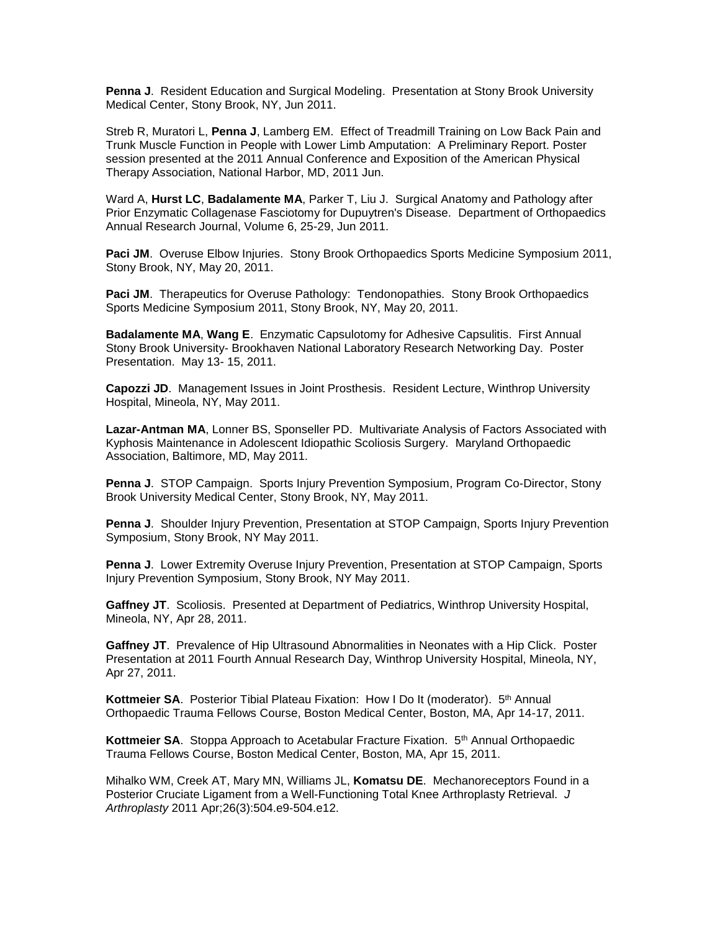**Penna J**. Resident Education and Surgical Modeling. Presentation at Stony Brook University Medical Center, Stony Brook, NY, Jun 2011.

Streb R, Muratori L, **Penna J**, Lamberg EM. Effect of Treadmill Training on Low Back Pain and Trunk Muscle Function in People with Lower Limb Amputation: A Preliminary Report. Poster session presented at the 2011 Annual Conference and Exposition of the American Physical Therapy Association, National Harbor, MD, 2011 Jun.

Ward A, **Hurst LC**, **Badalamente MA**, Parker T, Liu J. Surgical Anatomy and Pathology after Prior Enzymatic Collagenase Fasciotomy for Dupuytren's Disease. Department of Orthopaedics Annual Research Journal, Volume 6, 25-29, Jun 2011.

**Paci JM**. Overuse Elbow Injuries. Stony Brook Orthopaedics Sports Medicine Symposium 2011, Stony Brook, NY, May 20, 2011.

**Paci JM.** Therapeutics for Overuse Pathology: Tendonopathies. Stony Brook Orthopaedics Sports Medicine Symposium 2011, Stony Brook, NY, May 20, 2011.

**Badalamente MA**, **Wang E**. Enzymatic Capsulotomy for Adhesive Capsulitis. First Annual Stony Brook University- Brookhaven National Laboratory Research Networking Day. Poster Presentation. May 13- 15, 2011.

**Capozzi JD**. Management Issues in Joint Prosthesis. Resident Lecture, Winthrop University Hospital, Mineola, NY, May 2011.

**Lazar-Antman MA**, Lonner BS, Sponseller PD. Multivariate Analysis of Factors Associated with Kyphosis Maintenance in Adolescent Idiopathic Scoliosis Surgery. Maryland Orthopaedic Association, Baltimore, MD, May 2011.

**Penna J**. STOP Campaign. Sports Injury Prevention Symposium, Program Co-Director, Stony Brook University Medical Center, Stony Brook, NY, May 2011.

**Penna J**. Shoulder Injury Prevention, Presentation at STOP Campaign, Sports Injury Prevention Symposium, Stony Brook, NY May 2011.

**Penna J**. Lower Extremity Overuse Injury Prevention, Presentation at STOP Campaign, Sports Injury Prevention Symposium, Stony Brook, NY May 2011.

**Gaffney JT**. Scoliosis. Presented at Department of Pediatrics, Winthrop University Hospital, Mineola, NY, Apr 28, 2011.

**Gaffney JT**. Prevalence of Hip Ultrasound Abnormalities in Neonates with a Hip Click. Poster Presentation at 2011 Fourth Annual Research Day, Winthrop University Hospital, Mineola, NY, Apr 27, 2011.

**Kottmeier SA.** Posterior Tibial Plateau Fixation: How I Do It (moderator). 5<sup>th</sup> Annual Orthopaedic Trauma Fellows Course, Boston Medical Center, Boston, MA, Apr 14-17, 2011.

Kottmeier SA. Stoppa Approach to Acetabular Fracture Fixation. 5<sup>th</sup> Annual Orthopaedic Trauma Fellows Course, Boston Medical Center, Boston, MA, Apr 15, 2011.

Mihalko WM, Creek AT, Mary MN, Williams JL, **Komatsu DE**. Mechanoreceptors Found in a Posterior Cruciate Ligament from a Well-Functioning Total Knee Arthroplasty Retrieval. *J Arthroplasty* 2011 Apr;26(3):504.e9-504.e12.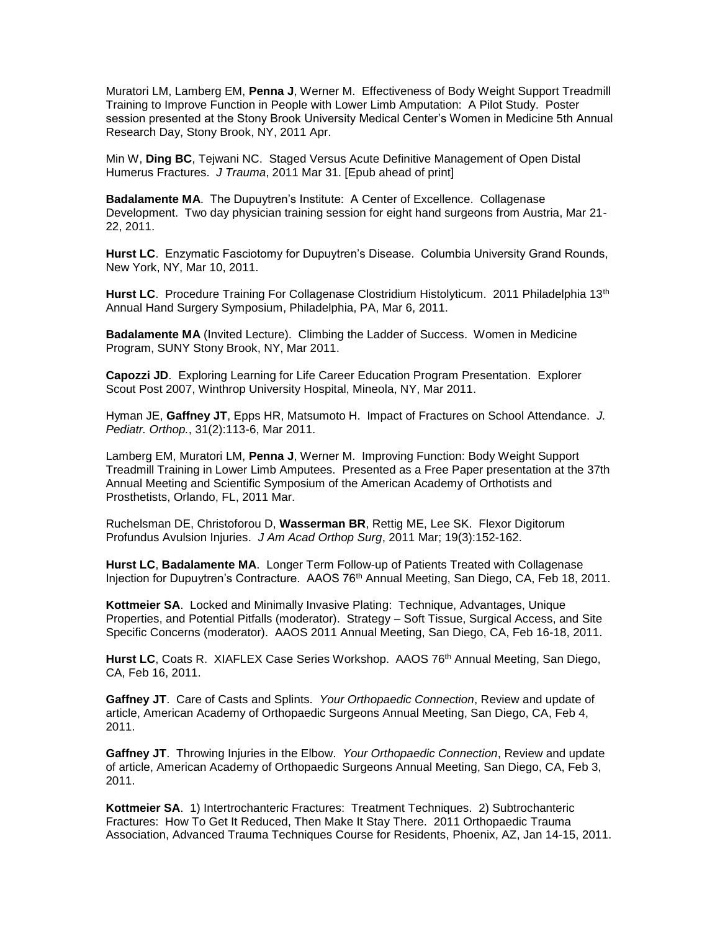Muratori LM, Lamberg EM, **Penna J**, Werner M. Effectiveness of Body Weight Support Treadmill Training to Improve Function in People with Lower Limb Amputation: A Pilot Study. Poster session presented at the Stony Brook University Medical Center's Women in Medicine 5th Annual Research Day, Stony Brook, NY, 2011 Apr.

Min W, **Ding BC**, Tejwani NC. Staged Versus Acute Definitive Management of Open Distal Humerus Fractures. *J Trauma*, 2011 Mar 31. [Epub ahead of print]

**Badalamente MA**. The Dupuytren's Institute: A Center of Excellence. Collagenase Development. Two day physician training session for eight hand surgeons from Austria, Mar 21- 22, 2011.

**Hurst LC**. Enzymatic Fasciotomy for Dupuytren's Disease. Columbia University Grand Rounds, New York, NY, Mar 10, 2011.

Hurst LC. Procedure Training For Collagenase Clostridium Histolyticum. 2011 Philadelphia 13<sup>th</sup> Annual Hand Surgery Symposium, Philadelphia, PA, Mar 6, 2011.

**Badalamente MA** (Invited Lecture). Climbing the Ladder of Success. Women in Medicine Program, SUNY Stony Brook, NY, Mar 2011.

**Capozzi JD**. Exploring Learning for Life Career Education Program Presentation. Explorer Scout Post 2007, Winthrop University Hospital, Mineola, NY, Mar 2011.

Hyman JE, **Gaffney JT**, Epps HR, Matsumoto H. Impact of Fractures on School Attendance. *J. Pediatr. Orthop.*, 31(2):113-6, Mar 2011.

Lamberg EM, Muratori LM, **Penna J**, Werner M. Improving Function: Body Weight Support Treadmill Training in Lower Limb Amputees. Presented as a Free Paper presentation at the 37th Annual Meeting and Scientific Symposium of the American Academy of Orthotists and Prosthetists, Orlando, FL, 2011 Mar.

Ruchelsman DE, Christoforou D, **Wasserman BR**, Rettig ME, Lee SK. Flexor Digitorum Profundus Avulsion Injuries. *J Am Acad Orthop Surg*, 2011 Mar; 19(3):152-162.

**Hurst LC**, **Badalamente MA**. Longer Term Follow-up of Patients Treated with Collagenase Injection for Dupuytren's Contracture. AAOS 76th Annual Meeting, San Diego, CA, Feb 18, 2011.

**Kottmeier SA**. Locked and Minimally Invasive Plating: Technique, Advantages, Unique Properties, and Potential Pitfalls (moderator). Strategy – Soft Tissue, Surgical Access, and Site Specific Concerns (moderator). AAOS 2011 Annual Meeting, San Diego, CA, Feb 16-18, 2011.

Hurst LC, Coats R. XIAFLEX Case Series Workshop. AAOS 76<sup>th</sup> Annual Meeting, San Diego, CA, Feb 16, 2011.

**Gaffney JT**. Care of Casts and Splints. *Your Orthopaedic Connection*, Review and update of article, American Academy of Orthopaedic Surgeons Annual Meeting, San Diego, CA, Feb 4, 2011.

**Gaffney JT**. Throwing Injuries in the Elbow. *Your Orthopaedic Connection*, Review and update of article, American Academy of Orthopaedic Surgeons Annual Meeting, San Diego, CA, Feb 3, 2011.

**Kottmeier SA**. 1) Intertrochanteric Fractures: Treatment Techniques. 2) Subtrochanteric Fractures: How To Get It Reduced, Then Make It Stay There. 2011 Orthopaedic Trauma Association, Advanced Trauma Techniques Course for Residents, Phoenix, AZ, Jan 14-15, 2011.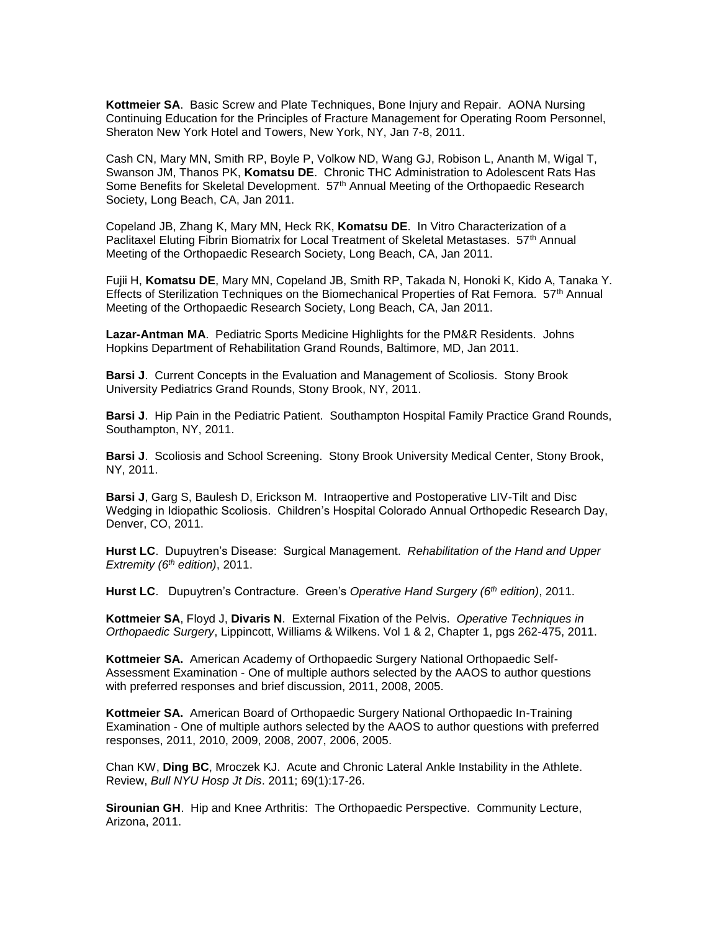**Kottmeier SA**. Basic Screw and Plate Techniques, Bone Injury and Repair. AONA Nursing Continuing Education for the Principles of Fracture Management for Operating Room Personnel, Sheraton New York Hotel and Towers, New York, NY, Jan 7-8, 2011.

Cash CN, Mary MN, Smith RP, Boyle P, Volkow ND, Wang GJ, Robison L, Ananth M, Wigal T, Swanson JM, Thanos PK, **Komatsu DE**. Chronic THC Administration to Adolescent Rats Has Some Benefits for Skeletal Development. 57<sup>th</sup> Annual Meeting of the Orthopaedic Research Society, Long Beach, CA, Jan 2011.

Copeland JB, Zhang K, Mary MN, Heck RK, **Komatsu DE**. In Vitro Characterization of a Paclitaxel Eluting Fibrin Biomatrix for Local Treatment of Skeletal Metastases. 57<sup>th</sup> Annual Meeting of the Orthopaedic Research Society, Long Beach, CA, Jan 2011.

Fujii H, **Komatsu DE**, Mary MN, Copeland JB, Smith RP, Takada N, Honoki K, Kido A, Tanaka Y. Effects of Sterilization Techniques on the Biomechanical Properties of Rat Femora. 57th Annual Meeting of the Orthopaedic Research Society, Long Beach, CA, Jan 2011.

**Lazar-Antman MA**. Pediatric Sports Medicine Highlights for the PM&R Residents. Johns Hopkins Department of Rehabilitation Grand Rounds, Baltimore, MD, Jan 2011.

**Barsi J**. Current Concepts in the Evaluation and Management of Scoliosis. Stony Brook University Pediatrics Grand Rounds, Stony Brook, NY, 2011.

**Barsi J**. Hip Pain in the Pediatric Patient. Southampton Hospital Family Practice Grand Rounds, Southampton, NY, 2011.

**Barsi J**. Scoliosis and School Screening. Stony Brook University Medical Center, Stony Brook, NY, 2011.

**Barsi J**, Garg S, Baulesh D, Erickson M. Intraopertive and Postoperative LIV-Tilt and Disc Wedging in Idiopathic Scoliosis. Children's Hospital Colorado Annual Orthopedic Research Day, Denver, CO, 2011.

**Hurst LC**. Dupuytren's Disease: Surgical Management. *Rehabilitation of the Hand and Upper Extremity (6th edition)*, 2011.

**Hurst LC**. Dupuytren's Contracture. Green's *Operative Hand Surgery (6th edition)*, 2011.

**Kottmeier SA**, Floyd J, **Divaris N**. External Fixation of the Pelvis. *Operative Techniques in Orthopaedic Surgery*, Lippincott, Williams & Wilkens. Vol 1 & 2, Chapter 1, pgs 262-475, 2011.

**Kottmeier SA.** American Academy of Orthopaedic Surgery National Orthopaedic Self-Assessment Examination - One of multiple authors selected by the AAOS to author questions with preferred responses and brief discussion, 2011, 2008, 2005.

**Kottmeier SA.** American Board of Orthopaedic Surgery National Orthopaedic In-Training Examination - One of multiple authors selected by the AAOS to author questions with preferred responses, 2011, 2010, 2009, 2008, 2007, 2006, 2005.

Chan KW, **Ding BC**, Mroczek KJ. Acute and Chronic Lateral Ankle Instability in the Athlete. Review, *Bull NYU Hosp Jt Dis*. 2011; 69(1):17-26.

**Sirounian GH**. Hip and Knee Arthritis: The Orthopaedic Perspective. Community Lecture, Arizona, 2011.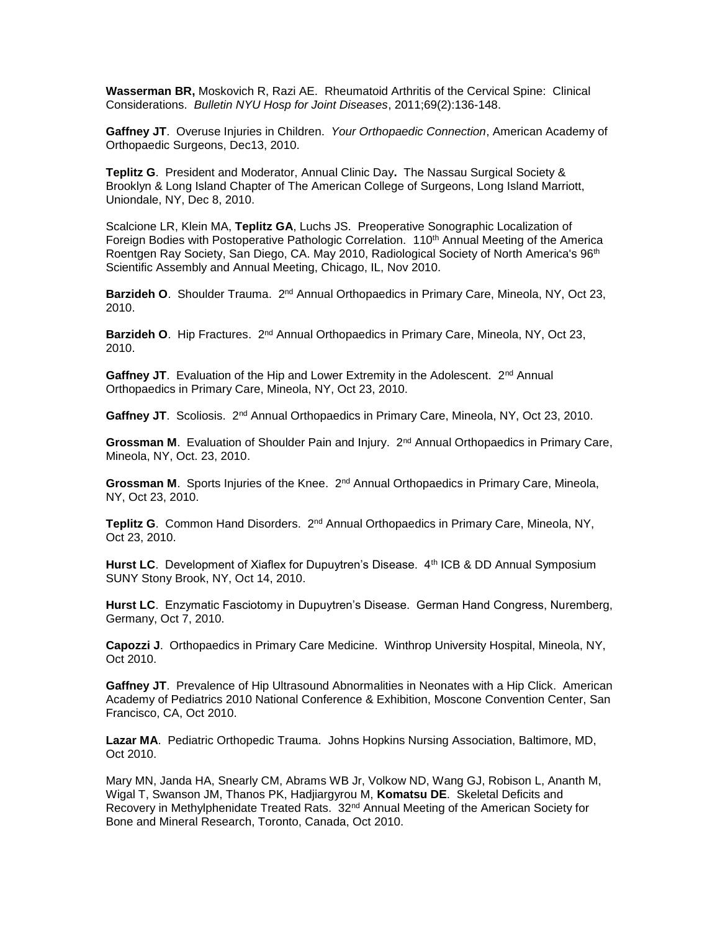**Wasserman BR,** Moskovich R, Razi AE. Rheumatoid Arthritis of the Cervical Spine: Clinical Considerations. *Bulletin NYU Hosp for Joint Diseases*, 2011;69(2):136-148.

**Gaffney JT**. Overuse Injuries in Children. *Your Orthopaedic Connection*, American Academy of Orthopaedic Surgeons, Dec13, 2010.

**Teplitz G**.President and Moderator, Annual Clinic Day**.** The Nassau Surgical Society & Brooklyn & Long Island Chapter of The American College of Surgeons, Long Island Marriott, Uniondale, NY, Dec 8, 2010.

Scalcione LR, Klein MA, **Teplitz GA**, Luchs JS.Preoperative Sonographic Localization of Foreign Bodies with Postoperative Pathologic Correlation. 110<sup>th</sup> Annual Meeting of the America Roentgen Ray Society, San Diego, CA. May 2010, Radiological Society of North America's 96<sup>th</sup> Scientific Assembly and Annual Meeting, Chicago, IL, Nov 2010.

Barzideh O. Shoulder Trauma. 2<sup>nd</sup> Annual Orthopaedics in Primary Care, Mineola, NY, Oct 23, 2010.

Barzideh O. Hip Fractures. 2<sup>nd</sup> Annual Orthopaedics in Primary Care, Mineola, NY, Oct 23, 2010.

Gaffney JT. Evaluation of the Hip and Lower Extremity in the Adolescent. 2<sup>nd</sup> Annual Orthopaedics in Primary Care, Mineola, NY, Oct 23, 2010.

Gaffney JT. Scoliosis. 2<sup>nd</sup> Annual Orthopaedics in Primary Care, Mineola, NY, Oct 23, 2010.

Grossman M. Evaluation of Shoulder Pain and Injury. 2<sup>nd</sup> Annual Orthopaedics in Primary Care, Mineola, NY, Oct. 23, 2010.

Grossman M. Sports Injuries of the Knee. 2<sup>nd</sup> Annual Orthopaedics in Primary Care, Mineola, NY, Oct 23, 2010.

Teplitz G. Common Hand Disorders. 2<sup>nd</sup> Annual Orthopaedics in Primary Care, Mineola, NY, Oct 23, 2010.

**Hurst LC.** Development of Xiaflex for Dupuytren's Disease. 4th ICB & DD Annual Symposium SUNY Stony Brook, NY, Oct 14, 2010.

**Hurst LC**. Enzymatic Fasciotomy in Dupuytren's Disease. German Hand Congress, Nuremberg, Germany, Oct 7, 2010.

**Capozzi J**. Orthopaedics in Primary Care Medicine. Winthrop University Hospital, Mineola, NY, Oct 2010.

**Gaffney JT**.Prevalence of Hip Ultrasound Abnormalities in Neonates with a Hip Click. American Academy of Pediatrics 2010 National Conference & Exhibition, Moscone Convention Center, San Francisco, CA, Oct 2010.

**Lazar MA**. Pediatric Orthopedic Trauma. Johns Hopkins Nursing Association, Baltimore, MD, Oct 2010.

Mary MN, Janda HA, Snearly CM, Abrams WB Jr, Volkow ND, Wang GJ, Robison L, Ananth M, Wigal T, Swanson JM, Thanos PK, Hadjiargyrou M, **Komatsu DE**. Skeletal Deficits and Recovery in Methylphenidate Treated Rats. 32<sup>nd</sup> Annual Meeting of the American Society for Bone and Mineral Research, Toronto, Canada, Oct 2010.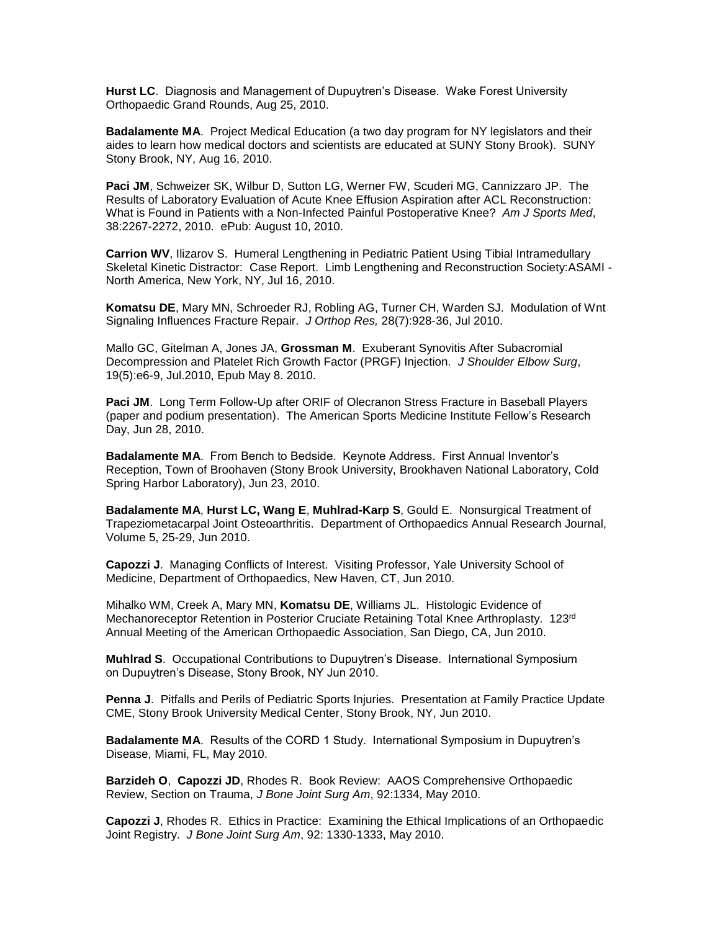**Hurst LC**. Diagnosis and Management of Dupuytren's Disease. Wake Forest University Orthopaedic Grand Rounds, Aug 25, 2010.

**Badalamente MA**. Project Medical Education (a two day program for NY legislators and their aides to learn how medical doctors and scientists are educated at SUNY Stony Brook). SUNY Stony Brook, NY, Aug 16, 2010.

**Paci JM**, Schweizer SK, Wilbur D, Sutton LG, Werner FW, Scuderi MG, Cannizzaro JP. The Results of Laboratory Evaluation of Acute Knee Effusion Aspiration after ACL Reconstruction: What is Found in Patients with a Non-Infected Painful Postoperative Knee? *Am J Sports Med*, 38:2267-2272, 2010. ePub: August 10, 2010.

**Carrion WV**, Ilizarov S. Humeral Lengthening in Pediatric Patient Using Tibial Intramedullary Skeletal Kinetic Distractor: Case Report. Limb Lengthening and Reconstruction Society:ASAMI - North America, New York, NY, Jul 16, 2010.

**Komatsu DE**, Mary MN, Schroeder RJ, Robling AG, Turner CH, Warden SJ. Modulation of Wnt Signaling Influences Fracture Repair. *J Orthop Res,* 28(7):928-36, Jul 2010.

[Mallo GC,](http://www.ncbi.nlm.nih.gov/pubmed?term=%22Mallo%20GC%22%5BAuthor%5D) [Gitelman A,](http://www.ncbi.nlm.nih.gov/pubmed?term=%22Gitelman%20A%22%5BAuthor%5D) [Jones JA,](http://www.ncbi.nlm.nih.gov/pubmed?term=%22Jones%20JA%22%5BAuthor%5D) **[Grossman M](http://www.ncbi.nlm.nih.gov/pubmed?term=%22Grossman%20M%22%5BAuthor%5D)**. Exuberant Synovitis After Subacromial Decompression and Platelet Rich Growth Factor (PRGF) Injection. *[J Shoulder Elbow Surg](javascript:AL_get(this,%20)*, 19(5):e6-9, Jul.2010, Epub May 8. 2010.

**Paci JM**. Long Term Follow-Up after ORIF of Olecranon Stress Fracture in Baseball Players (paper and podium presentation). The American Sports Medicine Institute Fellow's Research Day, Jun 28, 2010.

**Badalamente MA**. From Bench to Bedside. Keynote Address. First Annual Inventor's Reception, Town of Broohaven (Stony Brook University, Brookhaven National Laboratory, Cold Spring Harbor Laboratory), Jun 23, 2010.

**Badalamente MA**, **Hurst LC, Wang E**, **Muhlrad-Karp S**, Gould E. Nonsurgical Treatment of Trapeziometacarpal Joint Osteoarthritis. Department of Orthopaedics Annual Research Journal, Volume 5, 25-29, Jun 2010.

**Capozzi J**. Managing Conflicts of Interest. Visiting Professor, Yale University School of Medicine, Department of Orthopaedics, New Haven, CT, Jun 2010.

Mihalko WM, Creek A, Mary MN, **Komatsu DE**, Williams JL. Histologic Evidence of Mechanoreceptor Retention in Posterior Cruciate Retaining Total Knee Arthroplasty. 123rd Annual Meeting of the American Orthopaedic Association, San Diego, CA, Jun 2010.

**Muhlrad S**. Occupational Contributions to Dupuytren's Disease. International Symposium on Dupuytren's Disease, Stony Brook, NY Jun 2010.

**Penna J**. Pitfalls and Perils of Pediatric Sports Injuries. Presentation at Family Practice Update CME, Stony Brook University Medical Center, Stony Brook, NY, Jun 2010.

**Badalamente MA**. Results of the CORD 1 Study. International Symposium in Dupuytren's Disease, Miami, FL, May 2010.

**Barzideh O**, **Capozzi JD**, Rhodes R. Book Review: AAOS Comprehensive Orthopaedic Review, Section on Trauma, *J Bone Joint Surg Am*, 92:1334, May 2010.

**Capozzi J**, Rhodes R. Ethics in Practice: Examining the Ethical Implications of an Orthopaedic Joint Registry. *J Bone Joint Surg Am*, 92: 1330-1333, May 2010.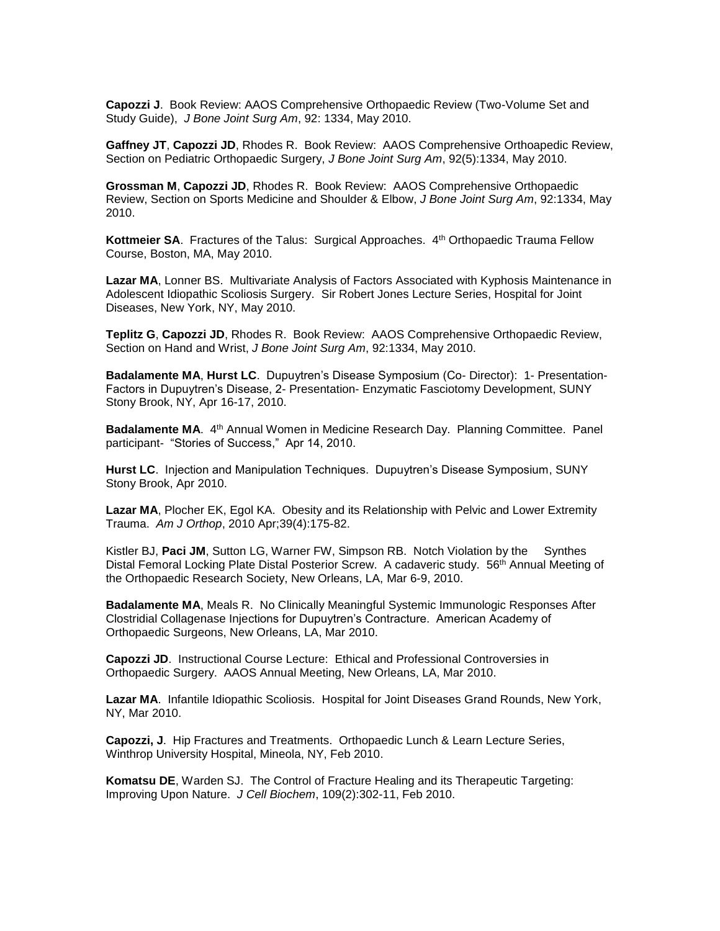**Capozzi J**. Book Review: AAOS Comprehensive Orthopaedic Review (Two-Volume Set and Study Guide), *J Bone Joint Surg Am*, 92: 1334, May 2010.

**Gaffney JT**, **Capozzi JD**, Rhodes R. Book Review: AAOS Comprehensive Orthoapedic Review, Section on Pediatric Orthopaedic Surgery, *J Bone Joint Surg Am*, 92(5):1334, May 2010.

**Grossman M**, **Capozzi JD**, Rhodes R. Book Review: AAOS Comprehensive Orthopaedic Review, Section on Sports Medicine and Shoulder & Elbow, *J Bone Joint Surg Am*, 92:1334, May 2010.

**Kottmeier SA.** Fractures of the Talus: Surgical Approaches. 4<sup>th</sup> Orthopaedic Trauma Fellow Course, Boston, MA, May 2010.

**Lazar MA**, Lonner BS. Multivariate Analysis of Factors Associated with Kyphosis Maintenance in Adolescent Idiopathic Scoliosis Surgery. Sir Robert Jones Lecture Series, Hospital for Joint Diseases, New York, NY, May 2010.

**Teplitz G**, **Capozzi JD**, Rhodes R. Book Review: AAOS Comprehensive Orthopaedic Review, Section on Hand and Wrist, *J Bone Joint Surg Am*, 92:1334, May 2010.

**Badalamente MA**, **Hurst LC**. Dupuytren's Disease Symposium (Co- Director): 1- Presentation-Factors in Dupuytren's Disease, 2- Presentation- Enzymatic Fasciotomy Development, SUNY Stony Brook, NY, Apr 16-17, 2010.

**Badalamente MA.** 4<sup>th</sup> Annual Women in Medicine Research Day. Planning Committee. Panel participant- "Stories of Success," Apr 14, 2010.

**Hurst LC**. Injection and Manipulation Techniques. Dupuytren's Disease Symposium, SUNY Stony Brook, Apr 2010.

**Lazar MA**, Plocher EK, Egol KA. Obesity and its Relationship with Pelvic and Lower Extremity Trauma. *Am J Orthop*, 2010 Apr;39(4):175-82.

Kistler BJ, **Paci JM**, Sutton LG, Warner FW, Simpson RB. Notch Violation by the Synthes Distal Femoral Locking Plate Distal Posterior Screw. A cadaveric study. 56<sup>th</sup> Annual Meeting of the Orthopaedic Research Society, New Orleans, LA, Mar 6-9, 2010.

**Badalamente MA**, Meals R. No Clinically Meaningful Systemic Immunologic Responses After Clostridial Collagenase Injections for Dupuytren's Contracture. American Academy of Orthopaedic Surgeons, New Orleans, LA, Mar 2010.

**Capozzi JD**. Instructional Course Lecture: Ethical and Professional Controversies in Orthopaedic Surgery. AAOS Annual Meeting, New Orleans, LA, Mar 2010.

**Lazar MA**. Infantile Idiopathic Scoliosis. Hospital for Joint Diseases Grand Rounds, New York, NY, Mar 2010.

**Capozzi, J**. Hip Fractures and Treatments. Orthopaedic Lunch & Learn Lecture Series, Winthrop University Hospital, Mineola, NY, Feb 2010.

**Komatsu DE**, Warden SJ. The Control of Fracture Healing and its Therapeutic Targeting: Improving Upon Nature. *J Cell Biochem*, 109(2):302-11, Feb 2010.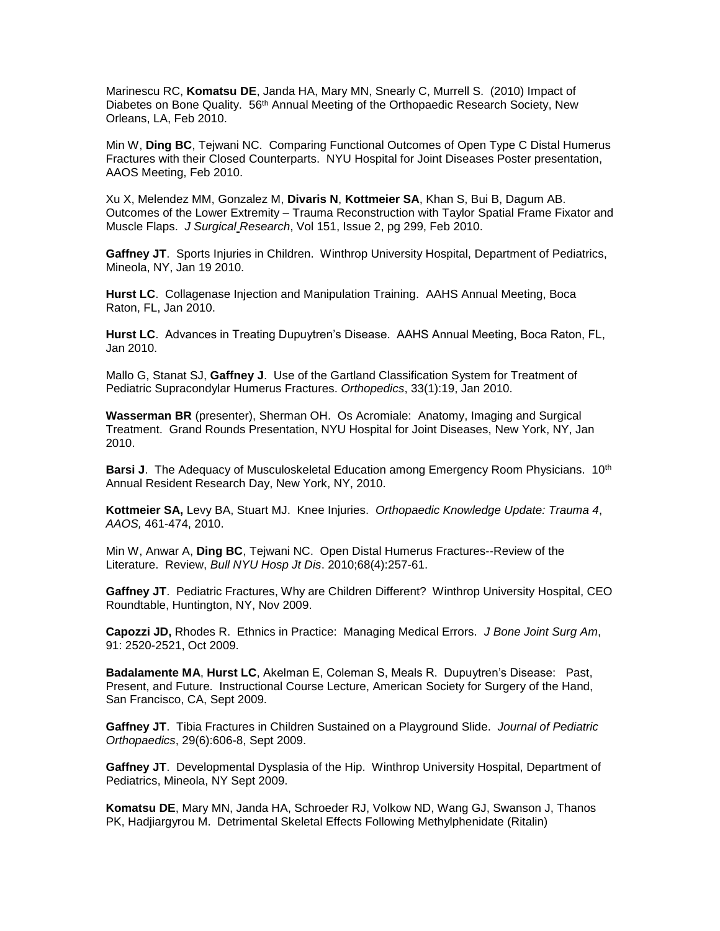Marinescu RC, **Komatsu DE**, Janda HA, Mary MN, Snearly C, Murrell S. (2010) Impact of Diabetes on Bone Quality. 56<sup>th</sup> Annual Meeting of the Orthopaedic Research Society, New Orleans, LA, Feb 2010.

Min W, **Ding BC**, Tejwani NC. Comparing Functional Outcomes of Open Type C Distal Humerus Fractures with their Closed Counterparts. NYU Hospital for Joint Diseases Poster presentation, AAOS Meeting, Feb 2010.

Xu X, Melendez MM, Gonzalez M, **Divaris N**, **Kottmeier SA**, Khan S, Bui B, Dagum AB. Outcomes of the Lower Extremity – Trauma Reconstruction with Taylor Spatial Frame Fixator and Muscle Flaps. *J Surgical Research*, Vol 151, Issue 2, pg 299, Feb 2010.

**Gaffney JT**. Sports Injuries in Children. Winthrop University Hospital, Department of Pediatrics, Mineola, NY, Jan 19 2010.

**Hurst LC**. Collagenase Injection and Manipulation Training. AAHS Annual Meeting, Boca Raton, FL, Jan 2010.

**Hurst LC**. Advances in Treating Dupuytren's Disease. AAHS Annual Meeting, Boca Raton, FL, Jan 2010.

Mallo G, Stanat SJ, **Gaffney J**. Use of the Gartland Classification System for Treatment of Pediatric Supracondylar Humerus Fractures. *Orthopedics*, 33(1):19, Jan 2010.

**Wasserman BR** (presenter), Sherman OH. Os Acromiale: Anatomy, Imaging and Surgical Treatment. Grand Rounds Presentation, NYU Hospital for Joint Diseases, New York, NY, Jan 2010.

**Barsi J.** The Adequacy of Musculoskeletal Education among Emergency Room Physicians. 10<sup>th</sup> Annual Resident Research Day, New York, NY, 2010.

**Kottmeier SA,** Levy BA, Stuart MJ. Knee Injuries. *Orthopaedic Knowledge Update: Trauma 4*, *AAOS,* 461-474, 2010.

Min W, Anwar A, **Ding BC**, Tejwani NC. Open Distal Humerus Fractures--Review of the Literature. Review, *Bull NYU Hosp Jt Dis*. 2010;68(4):257-61.

**Gaffney JT**. Pediatric Fractures, Why are Children Different? Winthrop University Hospital, CEO Roundtable, Huntington, NY, Nov 2009.

**Capozzi JD,** Rhodes R. Ethnics in Practice: Managing Medical Errors. *J Bone Joint Surg Am*, 91: 2520-2521, Oct 2009.

**Badalamente MA**, **Hurst LC**, Akelman E, Coleman S, Meals R. Dupuytren's Disease: Past, Present, and Future. Instructional Course Lecture, American Society for Surgery of the Hand, San Francisco, CA, Sept 2009.

**Gaffney JT**. Tibia Fractures in Children Sustained on a Playground Slide. *Journal of Pediatric Orthopaedics*, 29(6):606-8, Sept 2009.

**Gaffney JT**. Developmental Dysplasia of the Hip. Winthrop University Hospital, Department of Pediatrics, Mineola, NY Sept 2009.

**Komatsu DE**, Mary MN, Janda HA, Schroeder RJ, Volkow ND, Wang GJ, Swanson J, Thanos PK, Hadjiargyrou M. Detrimental Skeletal Effects Following Methylphenidate (Ritalin)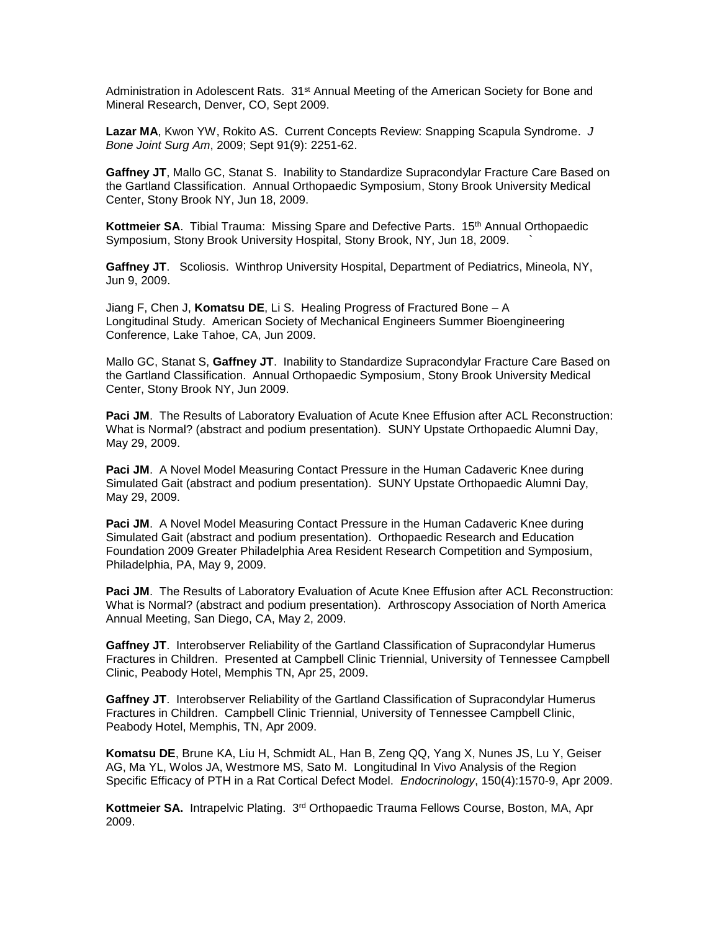Administration in Adolescent Rats. 31<sup>st</sup> Annual Meeting of the American Society for Bone and Mineral Research, Denver, CO, Sept 2009.

**Lazar MA**, Kwon YW, Rokito AS. Current Concepts Review: Snapping Scapula Syndrome. *J Bone Joint Surg Am*, 2009; Sept 91(9): 2251-62.

Gaffney JT, Mallo GC, Stanat S. Inability to Standardize Supracondylar Fracture Care Based on the Gartland Classification. Annual Orthopaedic Symposium, Stony Brook University Medical Center, Stony Brook NY, Jun 18, 2009.

**Kottmeier SA.** Tibial Trauma: Missing Spare and Defective Parts. 15<sup>th</sup> Annual Orthopaedic Symposium, Stony Brook University Hospital, Stony Brook, NY, Jun 18, 2009. `

**Gaffney JT**. Scoliosis. Winthrop University Hospital, Department of Pediatrics, Mineola, NY, Jun 9, 2009.

Jiang F, Chen J, **Komatsu DE**, Li S. Healing Progress of Fractured Bone – A Longitudinal Study. American Society of Mechanical Engineers Summer Bioengineering Conference, Lake Tahoe, CA, Jun 2009.

Mallo GC, Stanat S, **Gaffney JT**. Inability to Standardize Supracondylar Fracture Care Based on the Gartland Classification. Annual Orthopaedic Symposium, Stony Brook University Medical Center, Stony Brook NY, Jun 2009.

**Paci JM.** The Results of Laboratory Evaluation of Acute Knee Effusion after ACL Reconstruction: What is Normal? (abstract and podium presentation). SUNY Upstate Orthopaedic Alumni Day, May 29, 2009.

**Paci JM**. A Novel Model Measuring Contact Pressure in the Human Cadaveric Knee during Simulated Gait (abstract and podium presentation). SUNY Upstate Orthopaedic Alumni Day, May 29, 2009.

**Paci JM**. A Novel Model Measuring Contact Pressure in the Human Cadaveric Knee during Simulated Gait (abstract and podium presentation). Orthopaedic Research and Education Foundation 2009 Greater Philadelphia Area Resident Research Competition and Symposium, Philadelphia, PA, May 9, 2009.

**Paci JM.** The Results of Laboratory Evaluation of Acute Knee Effusion after ACL Reconstruction: What is Normal? (abstract and podium presentation). Arthroscopy Association of North America Annual Meeting, San Diego, CA, May 2, 2009.

**Gaffney JT**. Interobserver Reliability of the Gartland Classification of Supracondylar Humerus Fractures in Children. Presented at Campbell Clinic Triennial, University of Tennessee Campbell Clinic, Peabody Hotel, Memphis TN, Apr 25, 2009.

**Gaffney JT**. Interobserver Reliability of the Gartland Classification of Supracondylar Humerus Fractures in Children. Campbell Clinic Triennial, University of Tennessee Campbell Clinic, Peabody Hotel, Memphis, TN, Apr 2009.

**Komatsu DE**, Brune KA, Liu H, Schmidt AL, Han B, Zeng QQ, Yang X, Nunes JS, Lu Y, Geiser AG, Ma YL, Wolos JA, Westmore MS, Sato M. Longitudinal In Vivo Analysis of the Region Specific Efficacy of PTH in a Rat Cortical Defect Model. *Endocrinology*, 150(4):1570-9, Apr 2009.

Kottmeier SA. Intrapelvic Plating. 3<sup>rd</sup> Orthopaedic Trauma Fellows Course, Boston, MA, Apr 2009.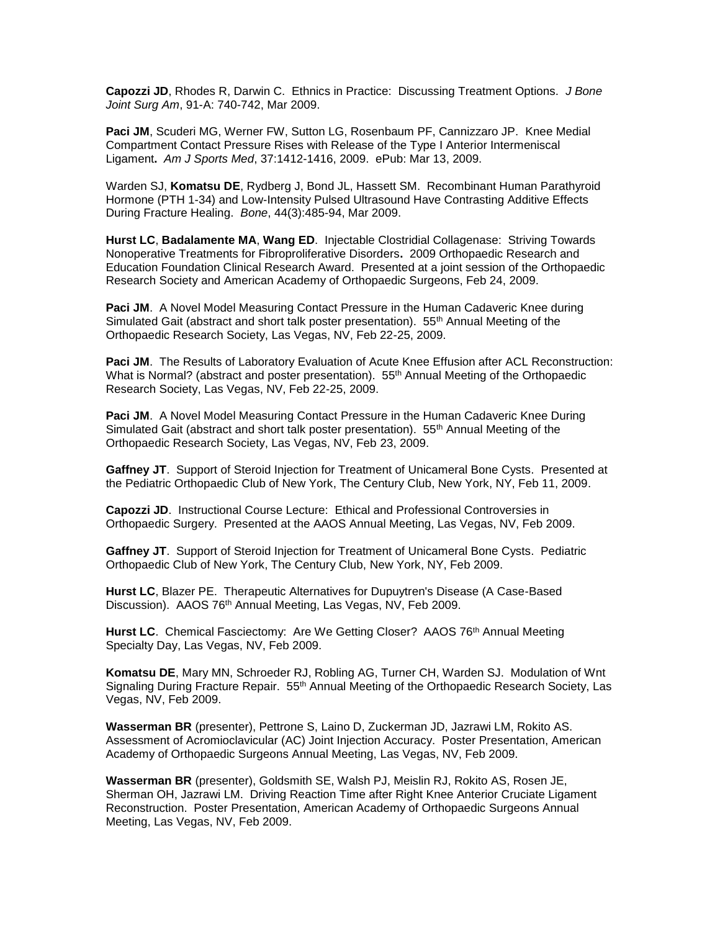**Capozzi JD**, Rhodes R, Darwin C. Ethnics in Practice: Discussing Treatment Options. *J Bone Joint Surg Am*, 91-A: 740-742, Mar 2009.

**Paci JM**, Scuderi MG, Werner FW, Sutton LG, Rosenbaum PF, Cannizzaro JP. Knee Medial Compartment Contact Pressure Rises with Release of the Type I Anterior Intermeniscal Ligament**.** *Am J Sports Med*, 37:1412-1416, 2009. ePub: Mar 13, 2009.

Warden SJ, **Komatsu DE**, Rydberg J, Bond JL, Hassett SM. Recombinant Human Parathyroid Hormone (PTH 1-34) and Low-Intensity Pulsed Ultrasound Have Contrasting Additive Effects During Fracture Healing. *Bone*, 44(3):485-94, Mar 2009.

**Hurst LC**, **Badalamente MA**, **Wang ED**. Injectable Clostridial Collagenase: Striving Towards Nonoperative Treatments for Fibroproliferative Disorders**.** 2009 Orthopaedic Research and Education Foundation Clinical Research Award. Presented at a joint session of the Orthopaedic Research Society and American Academy of Orthopaedic Surgeons, Feb 24, 2009.

**Paci JM**. A Novel Model Measuring Contact Pressure in the Human Cadaveric Knee during Simulated Gait (abstract and short talk poster presentation). 55<sup>th</sup> Annual Meeting of the Orthopaedic Research Society, Las Vegas, NV, Feb 22-25, 2009.

**Paci JM**. The Results of Laboratory Evaluation of Acute Knee Effusion after ACL Reconstruction: What is Normal? (abstract and poster presentation). 55<sup>th</sup> Annual Meeting of the Orthopaedic Research Society, Las Vegas, NV, Feb 22-25, 2009.

**Paci JM**. A Novel Model Measuring Contact Pressure in the Human Cadaveric Knee During Simulated Gait (abstract and short talk poster presentation). 55<sup>th</sup> Annual Meeting of the Orthopaedic Research Society, Las Vegas, NV, Feb 23, 2009.

**Gaffney JT**. Support of Steroid Injection for Treatment of Unicameral Bone Cysts. Presented at the Pediatric Orthopaedic Club of New York, The Century Club, New York, NY, Feb 11, 2009.

**Capozzi JD**. Instructional Course Lecture: Ethical and Professional Controversies in Orthopaedic Surgery. Presented at the AAOS Annual Meeting, Las Vegas, NV, Feb 2009.

**Gaffney JT**. Support of Steroid Injection for Treatment of Unicameral Bone Cysts. Pediatric Orthopaedic Club of New York, The Century Club, New York, NY, Feb 2009.

**Hurst LC**, Blazer PE. Therapeutic Alternatives for Dupuytren's Disease (A Case-Based Discussion). AAOS 76<sup>th</sup> Annual Meeting, Las Vegas, NV, Feb 2009.

Hurst LC. Chemical Fasciectomy: Are We Getting Closer? AAOS 76<sup>th</sup> Annual Meeting Specialty Day, Las Vegas, NV, Feb 2009.

**Komatsu DE**, Mary MN, Schroeder RJ, Robling AG, Turner CH, Warden SJ. Modulation of Wnt Signaling During Fracture Repair. 55<sup>th</sup> Annual Meeting of the Orthopaedic Research Society, Las Vegas, NV, Feb 2009.

**Wasserman BR** (presenter), Pettrone S, Laino D, Zuckerman JD, Jazrawi LM, Rokito AS. Assessment of Acromioclavicular (AC) Joint Injection Accuracy. Poster Presentation, American Academy of Orthopaedic Surgeons Annual Meeting, Las Vegas, NV, Feb 2009.

**Wasserman BR** (presenter), Goldsmith SE, Walsh PJ, Meislin RJ, Rokito AS, Rosen JE, Sherman OH, Jazrawi LM. Driving Reaction Time after Right Knee Anterior Cruciate Ligament Reconstruction. Poster Presentation, American Academy of Orthopaedic Surgeons Annual Meeting, Las Vegas, NV, Feb 2009.